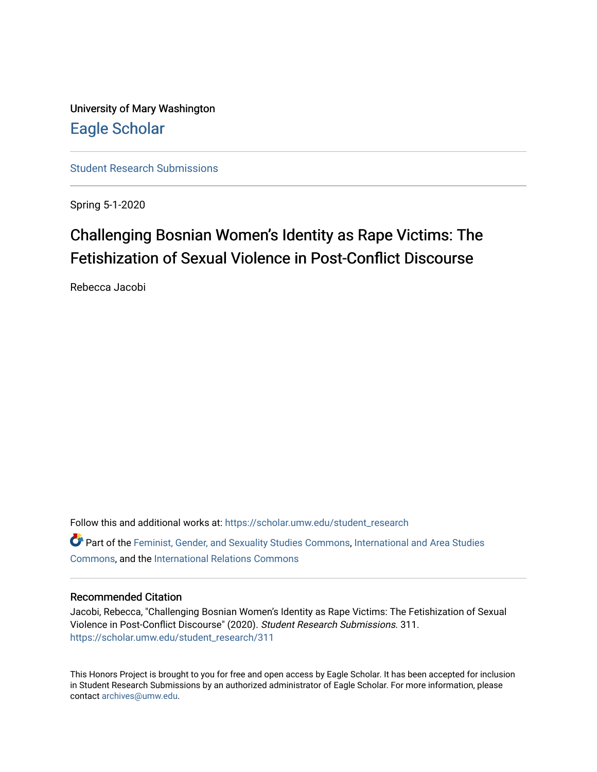University of Mary Washington [Eagle Scholar](https://scholar.umw.edu/) 

[Student Research Submissions](https://scholar.umw.edu/student_research) 

Spring 5-1-2020

# Challenging Bosnian Women's Identity as Rape Victims: The Fetishization of Sexual Violence in Post-Conflict Discourse

Rebecca Jacobi

Follow this and additional works at: [https://scholar.umw.edu/student\\_research](https://scholar.umw.edu/student_research?utm_source=scholar.umw.edu%2Fstudent_research%2F311&utm_medium=PDF&utm_campaign=PDFCoverPages) Part of the [Feminist, Gender, and Sexuality Studies Commons](http://network.bepress.com/hgg/discipline/559?utm_source=scholar.umw.edu%2Fstudent_research%2F311&utm_medium=PDF&utm_campaign=PDFCoverPages), [International and Area Studies](http://network.bepress.com/hgg/discipline/360?utm_source=scholar.umw.edu%2Fstudent_research%2F311&utm_medium=PDF&utm_campaign=PDFCoverPages) [Commons](http://network.bepress.com/hgg/discipline/360?utm_source=scholar.umw.edu%2Fstudent_research%2F311&utm_medium=PDF&utm_campaign=PDFCoverPages), and the [International Relations Commons](http://network.bepress.com/hgg/discipline/389?utm_source=scholar.umw.edu%2Fstudent_research%2F311&utm_medium=PDF&utm_campaign=PDFCoverPages) 

## Recommended Citation

Jacobi, Rebecca, "Challenging Bosnian Women's Identity as Rape Victims: The Fetishization of Sexual Violence in Post-Conflict Discourse" (2020). Student Research Submissions. 311. [https://scholar.umw.edu/student\\_research/311](https://scholar.umw.edu/student_research/311?utm_source=scholar.umw.edu%2Fstudent_research%2F311&utm_medium=PDF&utm_campaign=PDFCoverPages)

This Honors Project is brought to you for free and open access by Eagle Scholar. It has been accepted for inclusion in Student Research Submissions by an authorized administrator of Eagle Scholar. For more information, please contact [archives@umw.edu](mailto:archives@umw.edu).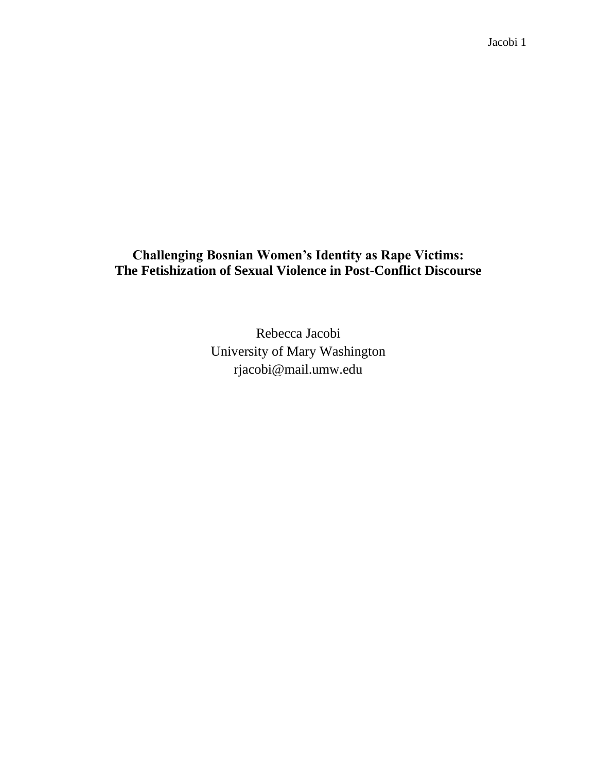**Challenging Bosnian Women's Identity as Rape Victims: The Fetishization of Sexual Violence in Post-Conflict Discourse**

> Rebecca Jacobi University of Mary Washington rjacobi@mail.umw.edu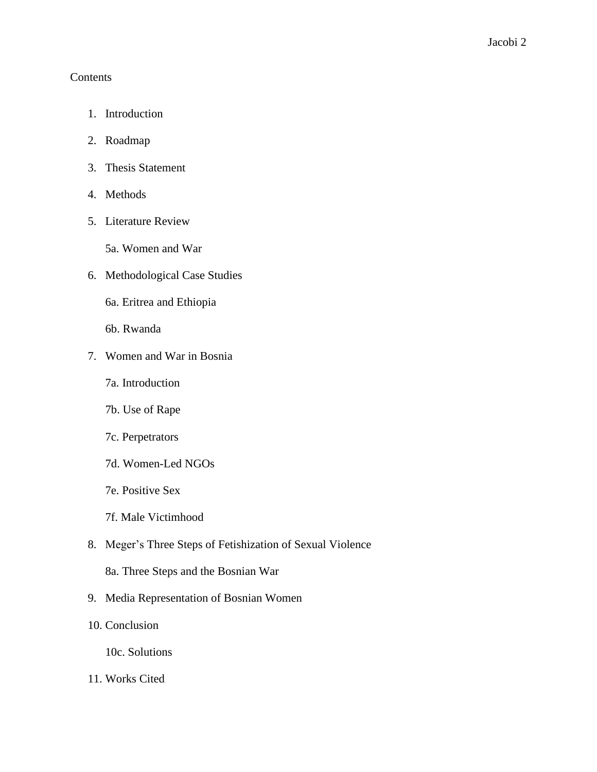# Contents

- 1. Introduction
- 2. Roadmap
- 3. Thesis Statement
- 4. Methods
- 5. Literature Review
	- 5a. Women and War
- 6. Methodological Case Studies
	- 6a. Eritrea and Ethiopia
	- 6b. Rwanda
- 7. Women and War in Bosnia
	- 7a. Introduction
	- 7b. Use of Rape
	- 7c. Perpetrators
	- 7d. Women-Led NGOs
	- 7e. Positive Sex
	- 7f. Male Victimhood
- 8. Meger's Three Steps of Fetishization of Sexual Violence
	- 8a. Three Steps and the Bosnian War
- 9. Media Representation of Bosnian Women
- 10. Conclusion
	- 10c. Solutions
- 11. Works Cited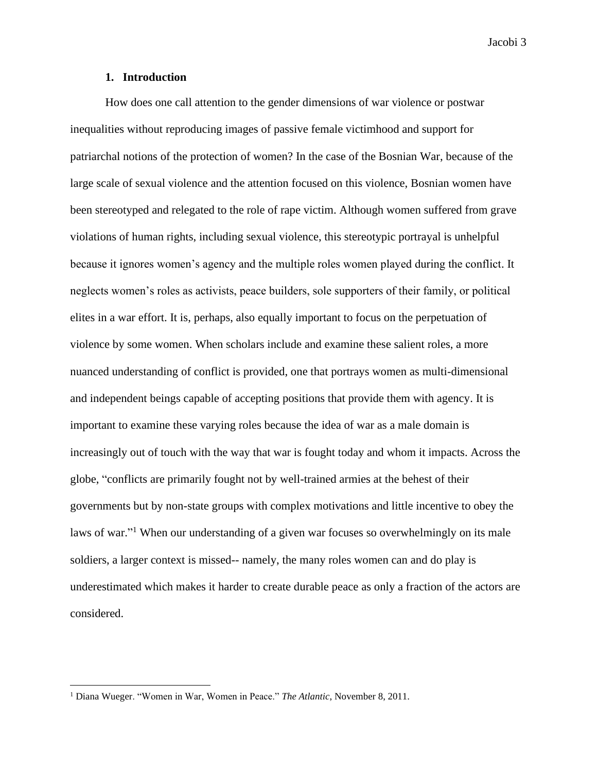#### **1. Introduction**

How does one call attention to the gender dimensions of war violence or postwar inequalities without reproducing images of passive female victimhood and support for patriarchal notions of the protection of women? In the case of the Bosnian War, because of the large scale of sexual violence and the attention focused on this violence, Bosnian women have been stereotyped and relegated to the role of rape victim. Although women suffered from grave violations of human rights, including sexual violence, this stereotypic portrayal is unhelpful because it ignores women's agency and the multiple roles women played during the conflict. It neglects women's roles as activists, peace builders, sole supporters of their family, or political elites in a war effort. It is, perhaps, also equally important to focus on the perpetuation of violence by some women. When scholars include and examine these salient roles, a more nuanced understanding of conflict is provided, one that portrays women as multi-dimensional and independent beings capable of accepting positions that provide them with agency. It is important to examine these varying roles because the idea of war as a male domain is increasingly out of touch with the way that war is fought today and whom it impacts. Across the globe, "conflicts are primarily fought not by well-trained armies at the behest of their governments but by non-state groups with complex motivations and little incentive to obey the laws of war."<sup>1</sup> When our understanding of a given war focuses so overwhelmingly on its male soldiers, a larger context is missed-- namely, the many roles women can and do play is underestimated which makes it harder to create durable peace as only a fraction of the actors are considered.

<sup>1</sup> Diana Wueger. "Women in War, Women in Peace." *The Atlantic*, November 8, 2011.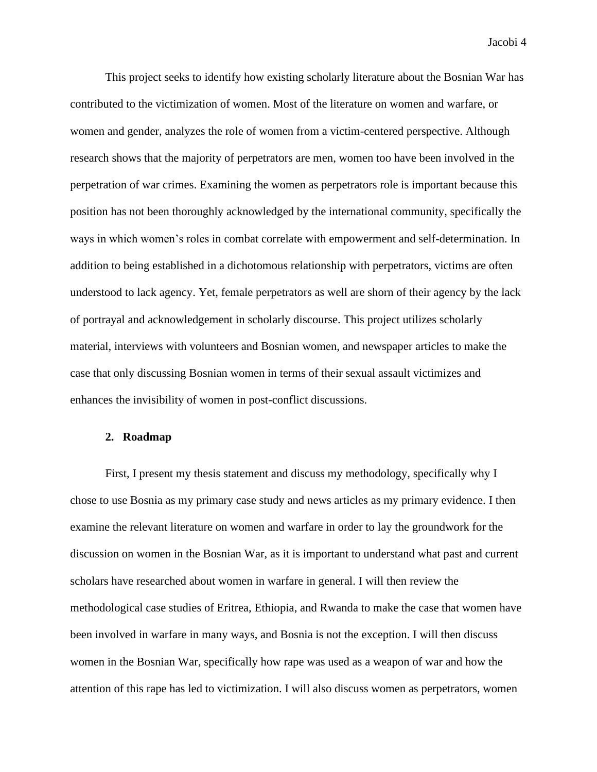This project seeks to identify how existing scholarly literature about the Bosnian War has contributed to the victimization of women. Most of the literature on women and warfare, or women and gender, analyzes the role of women from a victim-centered perspective. Although research shows that the majority of perpetrators are men, women too have been involved in the perpetration of war crimes. Examining the women as perpetrators role is important because this position has not been thoroughly acknowledged by the international community, specifically the ways in which women's roles in combat correlate with empowerment and self-determination. In addition to being established in a dichotomous relationship with perpetrators, victims are often understood to lack agency. Yet, female perpetrators as well are shorn of their agency by the lack of portrayal and acknowledgement in scholarly discourse. This project utilizes scholarly material, interviews with volunteers and Bosnian women, and newspaper articles to make the case that only discussing Bosnian women in terms of their sexual assault victimizes and enhances the invisibility of women in post-conflict discussions.

## **2. Roadmap**

First, I present my thesis statement and discuss my methodology, specifically why I chose to use Bosnia as my primary case study and news articles as my primary evidence. I then examine the relevant literature on women and warfare in order to lay the groundwork for the discussion on women in the Bosnian War, as it is important to understand what past and current scholars have researched about women in warfare in general. I will then review the methodological case studies of Eritrea, Ethiopia, and Rwanda to make the case that women have been involved in warfare in many ways, and Bosnia is not the exception. I will then discuss women in the Bosnian War, specifically how rape was used as a weapon of war and how the attention of this rape has led to victimization. I will also discuss women as perpetrators, women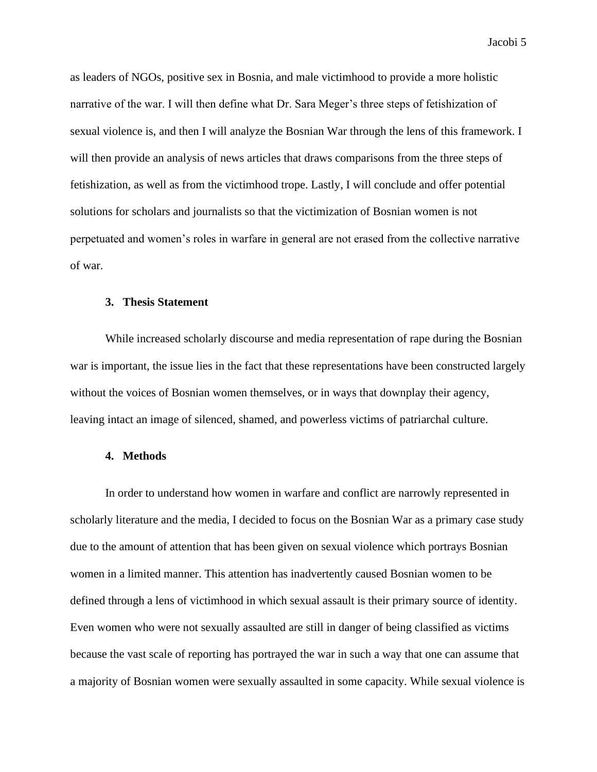as leaders of NGOs, positive sex in Bosnia, and male victimhood to provide a more holistic narrative of the war. I will then define what Dr. Sara Meger's three steps of fetishization of sexual violence is, and then I will analyze the Bosnian War through the lens of this framework. I will then provide an analysis of news articles that draws comparisons from the three steps of fetishization, as well as from the victimhood trope. Lastly, I will conclude and offer potential solutions for scholars and journalists so that the victimization of Bosnian women is not perpetuated and women's roles in warfare in general are not erased from the collective narrative of war.

#### **3. Thesis Statement**

While increased scholarly discourse and media representation of rape during the Bosnian war is important, the issue lies in the fact that these representations have been constructed largely without the voices of Bosnian women themselves, or in ways that downplay their agency, leaving intact an image of silenced, shamed, and powerless victims of patriarchal culture.

# **4. Methods**

In order to understand how women in warfare and conflict are narrowly represented in scholarly literature and the media, I decided to focus on the Bosnian War as a primary case study due to the amount of attention that has been given on sexual violence which portrays Bosnian women in a limited manner. This attention has inadvertently caused Bosnian women to be defined through a lens of victimhood in which sexual assault is their primary source of identity. Even women who were not sexually assaulted are still in danger of being classified as victims because the vast scale of reporting has portrayed the war in such a way that one can assume that a majority of Bosnian women were sexually assaulted in some capacity. While sexual violence is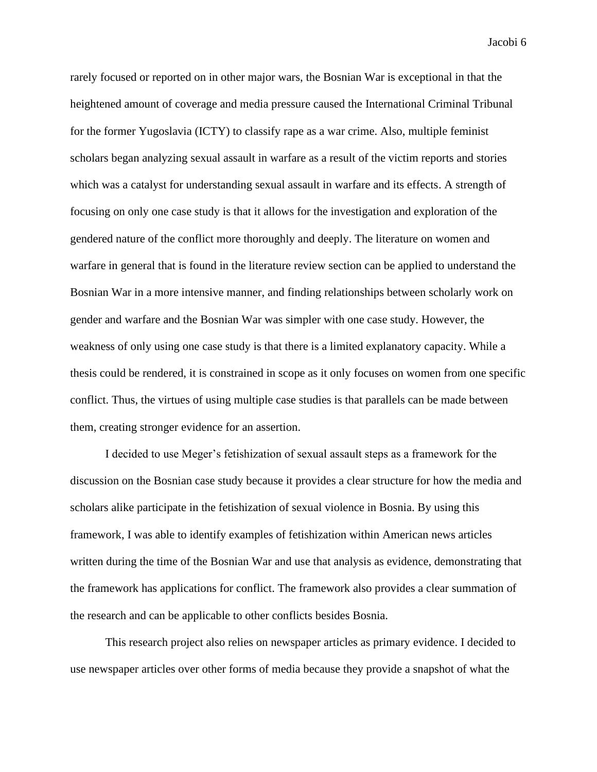rarely focused or reported on in other major wars, the Bosnian War is exceptional in that the heightened amount of coverage and media pressure caused the International Criminal Tribunal for the former Yugoslavia (ICTY) to classify rape as a war crime. Also, multiple feminist scholars began analyzing sexual assault in warfare as a result of the victim reports and stories which was a catalyst for understanding sexual assault in warfare and its effects. A strength of focusing on only one case study is that it allows for the investigation and exploration of the gendered nature of the conflict more thoroughly and deeply. The literature on women and warfare in general that is found in the literature review section can be applied to understand the Bosnian War in a more intensive manner, and finding relationships between scholarly work on gender and warfare and the Bosnian War was simpler with one case study. However, the weakness of only using one case study is that there is a limited explanatory capacity. While a thesis could be rendered, it is constrained in scope as it only focuses on women from one specific conflict. Thus, the virtues of using multiple case studies is that parallels can be made between them, creating stronger evidence for an assertion.

I decided to use Meger's fetishization of sexual assault steps as a framework for the discussion on the Bosnian case study because it provides a clear structure for how the media and scholars alike participate in the fetishization of sexual violence in Bosnia. By using this framework, I was able to identify examples of fetishization within American news articles written during the time of the Bosnian War and use that analysis as evidence, demonstrating that the framework has applications for conflict. The framework also provides a clear summation of the research and can be applicable to other conflicts besides Bosnia.

This research project also relies on newspaper articles as primary evidence. I decided to use newspaper articles over other forms of media because they provide a snapshot of what the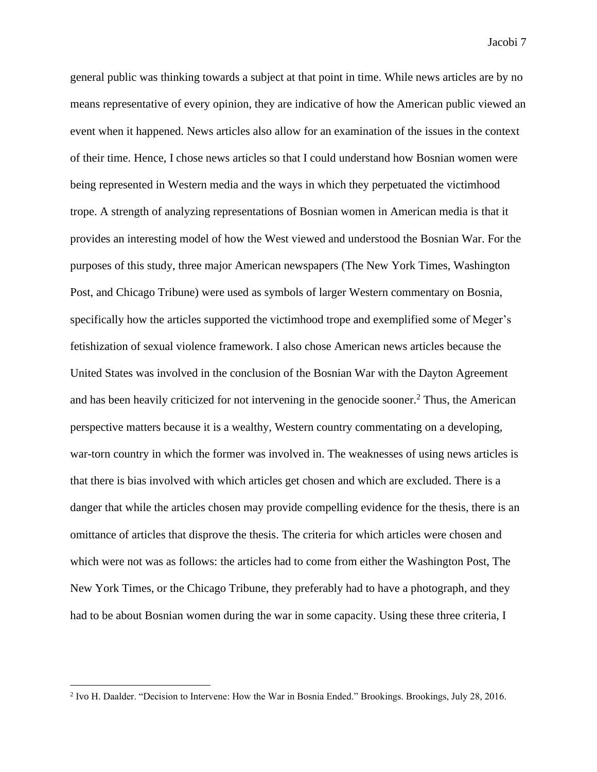general public was thinking towards a subject at that point in time. While news articles are by no means representative of every opinion, they are indicative of how the American public viewed an event when it happened. News articles also allow for an examination of the issues in the context of their time. Hence, I chose news articles so that I could understand how Bosnian women were being represented in Western media and the ways in which they perpetuated the victimhood trope. A strength of analyzing representations of Bosnian women in American media is that it provides an interesting model of how the West viewed and understood the Bosnian War. For the purposes of this study, three major American newspapers (The New York Times, Washington Post, and Chicago Tribune) were used as symbols of larger Western commentary on Bosnia, specifically how the articles supported the victimhood trope and exemplified some of Meger's fetishization of sexual violence framework. I also chose American news articles because the United States was involved in the conclusion of the Bosnian War with the Dayton Agreement and has been heavily criticized for not intervening in the genocide sooner.<sup>2</sup> Thus, the American perspective matters because it is a wealthy, Western country commentating on a developing, war-torn country in which the former was involved in. The weaknesses of using news articles is that there is bias involved with which articles get chosen and which are excluded. There is a danger that while the articles chosen may provide compelling evidence for the thesis, there is an omittance of articles that disprove the thesis. The criteria for which articles were chosen and which were not was as follows: the articles had to come from either the Washington Post, The New York Times, or the Chicago Tribune, they preferably had to have a photograph, and they had to be about Bosnian women during the war in some capacity. Using these three criteria, I

<sup>2</sup> Ivo H. Daalder. "Decision to Intervene: How the War in Bosnia Ended." Brookings. Brookings, July 28, 2016.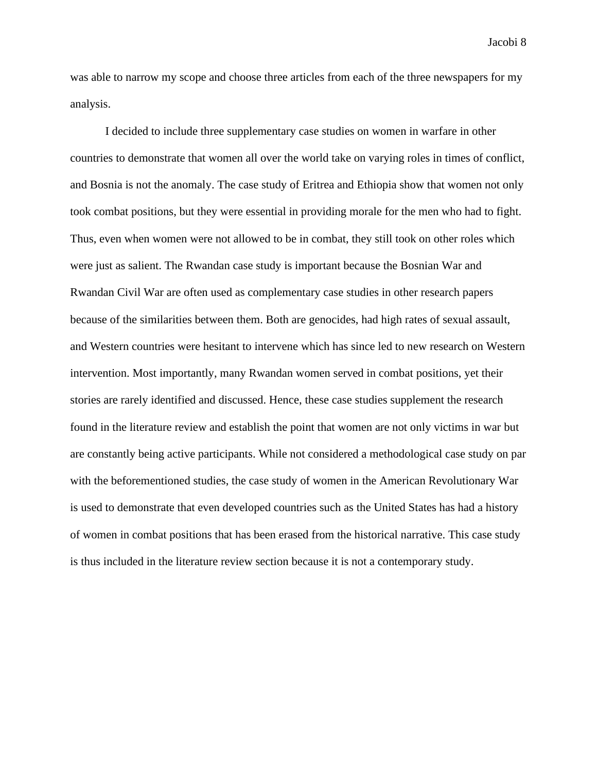was able to narrow my scope and choose three articles from each of the three newspapers for my analysis.

I decided to include three supplementary case studies on women in warfare in other countries to demonstrate that women all over the world take on varying roles in times of conflict, and Bosnia is not the anomaly. The case study of Eritrea and Ethiopia show that women not only took combat positions, but they were essential in providing morale for the men who had to fight. Thus, even when women were not allowed to be in combat, they still took on other roles which were just as salient. The Rwandan case study is important because the Bosnian War and Rwandan Civil War are often used as complementary case studies in other research papers because of the similarities between them. Both are genocides, had high rates of sexual assault, and Western countries were hesitant to intervene which has since led to new research on Western intervention. Most importantly, many Rwandan women served in combat positions, yet their stories are rarely identified and discussed. Hence, these case studies supplement the research found in the literature review and establish the point that women are not only victims in war but are constantly being active participants. While not considered a methodological case study on par with the beforementioned studies, the case study of women in the American Revolutionary War is used to demonstrate that even developed countries such as the United States has had a history of women in combat positions that has been erased from the historical narrative. This case study is thus included in the literature review section because it is not a contemporary study.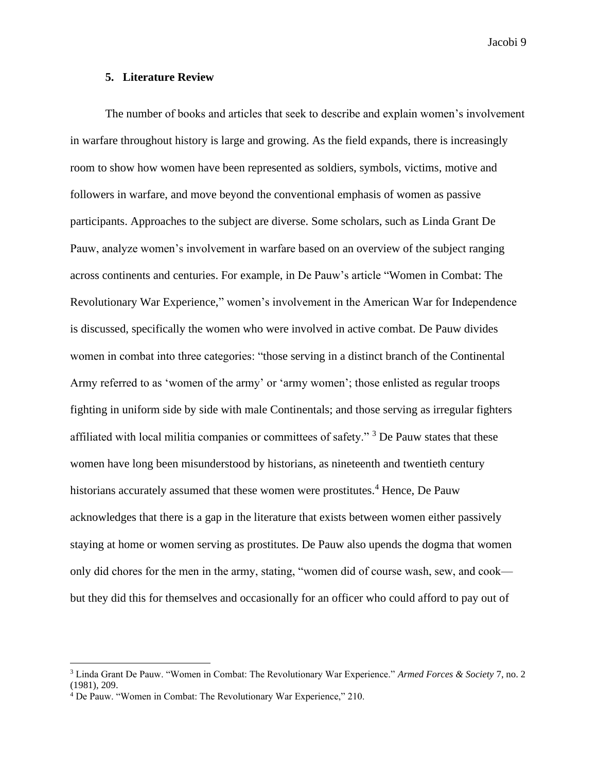### **5. Literature Review**

The number of books and articles that seek to describe and explain women's involvement in warfare throughout history is large and growing. As the field expands, there is increasingly room to show how women have been represented as soldiers, symbols, victims, motive and followers in warfare, and move beyond the conventional emphasis of women as passive participants. Approaches to the subject are diverse. Some scholars, such as Linda Grant De Pauw, analyze women's involvement in warfare based on an overview of the subject ranging across continents and centuries. For example, in De Pauw's article "Women in Combat: The Revolutionary War Experience," women's involvement in the American War for Independence is discussed, specifically the women who were involved in active combat. De Pauw divides women in combat into three categories: "those serving in a distinct branch of the Continental Army referred to as 'women of the army' or 'army women'; those enlisted as regular troops fighting in uniform side by side with male Continentals; and those serving as irregular fighters affiliated with local militia companies or committees of safety."<sup>3</sup> De Pauw states that these women have long been misunderstood by historians, as nineteenth and twentieth century historians accurately assumed that these women were prostitutes.<sup>4</sup> Hence, De Pauw acknowledges that there is a gap in the literature that exists between women either passively staying at home or women serving as prostitutes. De Pauw also upends the dogma that women only did chores for the men in the army, stating, "women did of course wash, sew, and cook but they did this for themselves and occasionally for an officer who could afford to pay out of

<sup>3</sup> Linda Grant De Pauw. "Women in Combat: The Revolutionary War Experience." *Armed Forces & Society* 7, no. 2 (1981), 209.

<sup>4</sup> De Pauw. "Women in Combat: The Revolutionary War Experience," 210.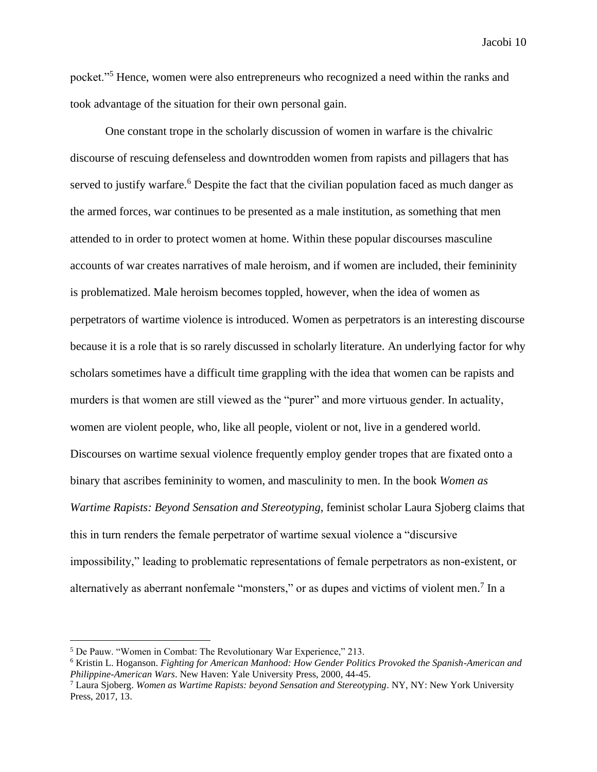pocket."<sup>5</sup> Hence, women were also entrepreneurs who recognized a need within the ranks and took advantage of the situation for their own personal gain.

One constant trope in the scholarly discussion of women in warfare is the chivalric discourse of rescuing defenseless and downtrodden women from rapists and pillagers that has served to justify warfare.<sup>6</sup> Despite the fact that the civilian population faced as much danger as the armed forces, war continues to be presented as a male institution, as something that men attended to in order to protect women at home. Within these popular discourses masculine accounts of war creates narratives of male heroism, and if women are included, their femininity is problematized. Male heroism becomes toppled, however, when the idea of women as perpetrators of wartime violence is introduced. Women as perpetrators is an interesting discourse because it is a role that is so rarely discussed in scholarly literature. An underlying factor for why scholars sometimes have a difficult time grappling with the idea that women can be rapists and murders is that women are still viewed as the "purer" and more virtuous gender. In actuality, women are violent people, who, like all people, violent or not, live in a gendered world. Discourses on wartime sexual violence frequently employ gender tropes that are fixated onto a binary that ascribes femininity to women, and masculinity to men. In the book *Women as Wartime Rapists: Beyond Sensation and Stereotyping,* feminist scholar Laura Sjoberg claims that this in turn renders the female perpetrator of wartime sexual violence a "discursive impossibility," leading to problematic representations of female perpetrators as non-existent, or alternatively as aberrant nonfemale "monsters," or as dupes and victims of violent men.<sup>7</sup> In a

<sup>5</sup> De Pauw. "Women in Combat: The Revolutionary War Experience," 213.

<sup>6</sup> Kristin L. Hoganson. *Fighting for American Manhood: How Gender Politics Provoked the Spanish-American and Philippine-American Wars*. New Haven: Yale University Press, 2000, 44-45.

<sup>7</sup> Laura Sjoberg. *Women as Wartime Rapists: beyond Sensation and Stereotyping*. NY, NY: New York University Press, 2017, 13.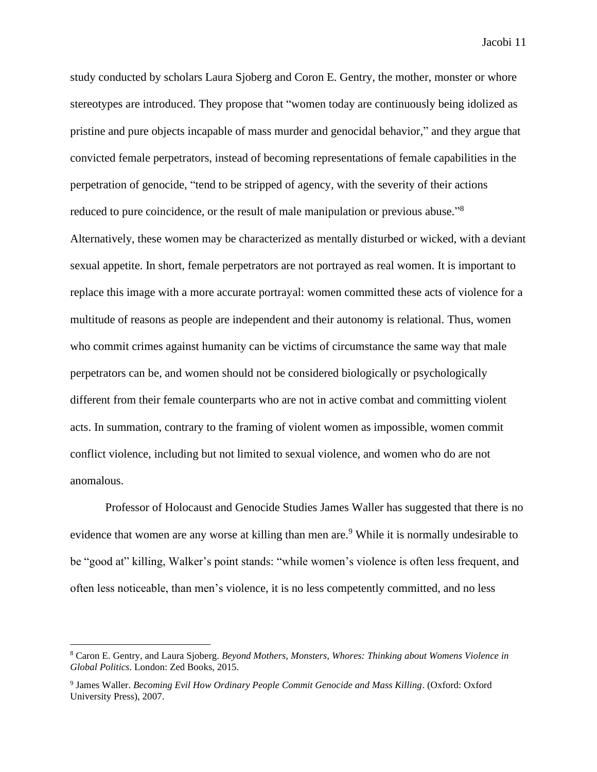study conducted by scholars Laura Sjoberg and Coron E. Gentry, the mother, monster or whore stereotypes are introduced. They propose that "women today are continuously being idolized as pristine and pure objects incapable of mass murder and genocidal behavior," and they argue that convicted female perpetrators, instead of becoming representations of female capabilities in the perpetration of genocide, "tend to be stripped of agency, with the severity of their actions reduced to pure coincidence, or the result of male manipulation or previous abuse."<sup>8</sup> Alternatively, these women may be characterized as mentally disturbed or wicked, with a deviant sexual appetite. In short, female perpetrators are not portrayed as real women. It is important to replace this image with a more accurate portrayal: women committed these acts of violence for a multitude of reasons as people are independent and their autonomy is relational. Thus, women who commit crimes against humanity can be victims of circumstance the same way that male perpetrators can be, and women should not be considered biologically or psychologically different from their female counterparts who are not in active combat and committing violent acts. In summation, contrary to the framing of violent women as impossible, women commit conflict violence, including but not limited to sexual violence, and women who do are not anomalous.

Professor of Holocaust and Genocide Studies James Waller has suggested that there is no evidence that women are any worse at killing than men are.<sup>9</sup> While it is normally undesirable to be "good at" killing, Walker's point stands: "while women's violence is often less frequent, and often less noticeable, than men's violence, it is no less competently committed, and no less

<sup>8</sup> Caron E. Gentry, and Laura Sjoberg. *Beyond Mothers, Monsters, Whores: Thinking about Womens Violence in Global Politics*. London: Zed Books, 2015.

<sup>9</sup> James Waller. *Becoming Evil How Ordinary People Commit Genocide and Mass Killing*. (Oxford: Oxford University Press), 2007.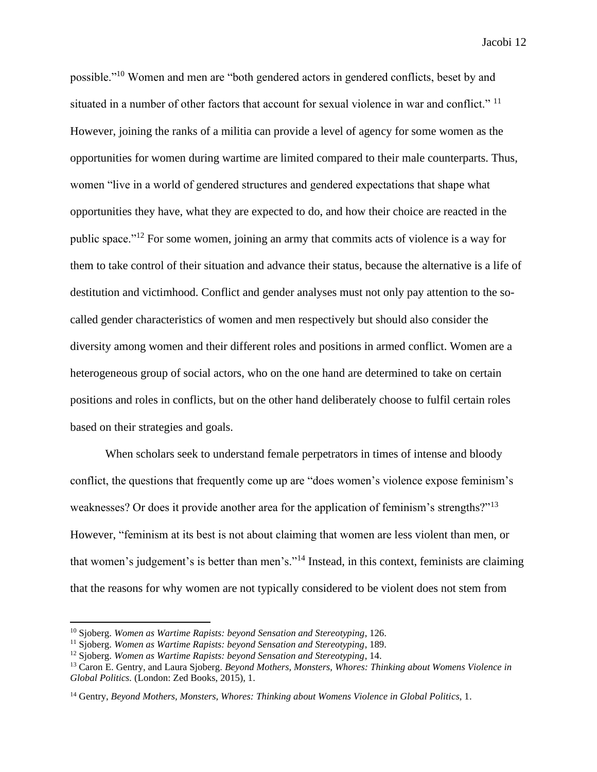possible."<sup>10</sup> Women and men are "both gendered actors in gendered conflicts, beset by and situated in a number of other factors that account for sexual violence in war and conflict." <sup>11</sup> However, joining the ranks of a militia can provide a level of agency for some women as the opportunities for women during wartime are limited compared to their male counterparts. Thus, women "live in a world of gendered structures and gendered expectations that shape what opportunities they have, what they are expected to do, and how their choice are reacted in the public space."<sup>12</sup> For some women, joining an army that commits acts of violence is a way for them to take control of their situation and advance their status, because the alternative is a life of destitution and victimhood. Conflict and gender analyses must not only pay attention to the socalled gender characteristics of women and men respectively but should also consider the diversity among women and their different roles and positions in armed conflict. Women are a heterogeneous group of social actors, who on the one hand are determined to take on certain positions and roles in conflicts, but on the other hand deliberately choose to fulfil certain roles based on their strategies and goals.

When scholars seek to understand female perpetrators in times of intense and bloody conflict, the questions that frequently come up are "does women's violence expose feminism's weaknesses? Or does it provide another area for the application of feminism's strengths?"<sup>13</sup> However, "feminism at its best is not about claiming that women are less violent than men, or that women's judgement's is better than men's."<sup>14</sup> Instead, in this context, feminists are claiming that the reasons for why women are not typically considered to be violent does not stem from

<sup>10</sup> Sjoberg. *Women as Wartime Rapists: beyond Sensation and Stereotyping*, 126.

<sup>11</sup> Sjoberg. *Women as Wartime Rapists: beyond Sensation and Stereotyping*, 189.

<sup>12</sup> Sjoberg. *Women as Wartime Rapists: beyond Sensation and Stereotyping*, 14.

<sup>13</sup> Caron E. Gentry, and Laura Sjoberg. *Beyond Mothers, Monsters, Whores: Thinking about Womens Violence in Global Politics.* (London: Zed Books, 2015), 1.

<sup>14</sup> Gentry, *Beyond Mothers, Monsters, Whores: Thinking about Womens Violence in Global Politics*, 1.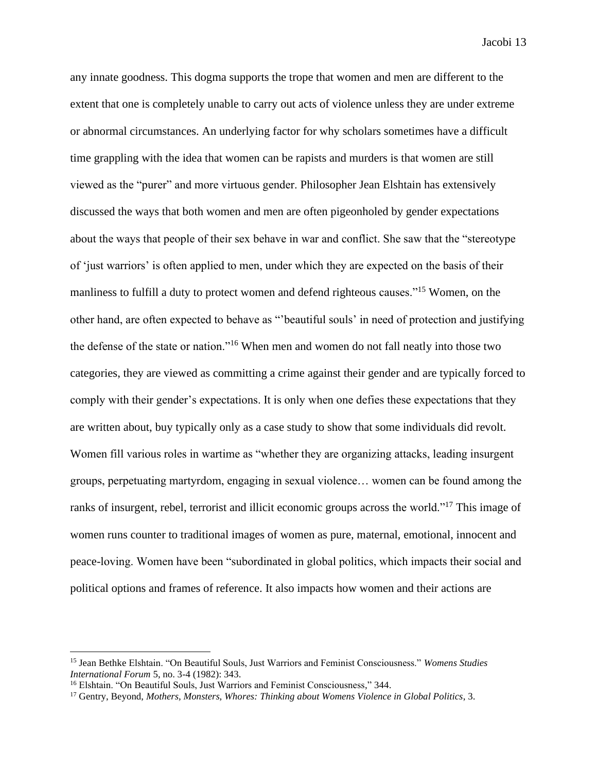any innate goodness. This dogma supports the trope that women and men are different to the extent that one is completely unable to carry out acts of violence unless they are under extreme or abnormal circumstances. An underlying factor for why scholars sometimes have a difficult time grappling with the idea that women can be rapists and murders is that women are still viewed as the "purer" and more virtuous gender. Philosopher Jean Elshtain has extensively discussed the ways that both women and men are often pigeonholed by gender expectations about the ways that people of their sex behave in war and conflict. She saw that the "stereotype of 'just warriors' is often applied to men, under which they are expected on the basis of their manliness to fulfill a duty to protect women and defend righteous causes."<sup>15</sup> Women, on the other hand, are often expected to behave as "'beautiful souls' in need of protection and justifying the defense of the state or nation."<sup>16</sup> When men and women do not fall neatly into those two categories, they are viewed as committing a crime against their gender and are typically forced to comply with their gender's expectations. It is only when one defies these expectations that they are written about, buy typically only as a case study to show that some individuals did revolt. Women fill various roles in wartime as "whether they are organizing attacks, leading insurgent groups, perpetuating martyrdom, engaging in sexual violence… women can be found among the ranks of insurgent, rebel, terrorist and illicit economic groups across the world."<sup>17</sup> This image of women runs counter to traditional images of women as pure, maternal, emotional, innocent and peace-loving. Women have been "subordinated in global politics, which impacts their social and political options and frames of reference. It also impacts how women and their actions are

<sup>15</sup> Jean Bethke Elshtain. "On Beautiful Souls, Just Warriors and Feminist Consciousness." *Womens Studies International Forum* 5, no. 3-4 (1982): 343.

<sup>&</sup>lt;sup>16</sup> Elshtain. "On Beautiful Souls, Just Warriors and Feminist Consciousness," 344.

<sup>17</sup> Gentry, Beyond, *Mothers, Monsters, Whores: Thinking about Womens Violence in Global Politics*, 3.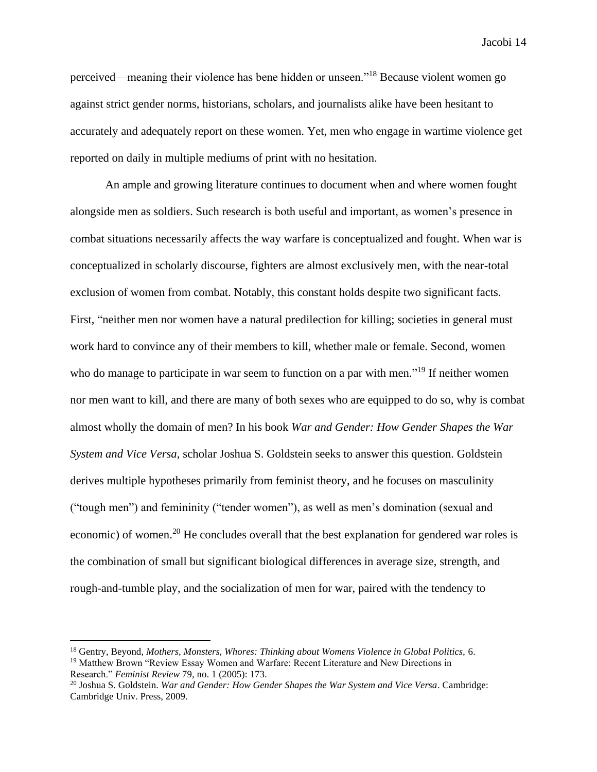perceived—meaning their violence has bene hidden or unseen."<sup>18</sup> Because violent women go against strict gender norms, historians, scholars, and journalists alike have been hesitant to accurately and adequately report on these women. Yet, men who engage in wartime violence get reported on daily in multiple mediums of print with no hesitation.

An ample and growing literature continues to document when and where women fought alongside men as soldiers. Such research is both useful and important, as women's presence in combat situations necessarily affects the way warfare is conceptualized and fought. When war is conceptualized in scholarly discourse, fighters are almost exclusively men, with the near-total exclusion of women from combat. Notably, this constant holds despite two significant facts. First, "neither men nor women have a natural predilection for killing; societies in general must work hard to convince any of their members to kill, whether male or female. Second, women who do manage to participate in war seem to function on a par with men."<sup>19</sup> If neither women nor men want to kill, and there are many of both sexes who are equipped to do so, why is combat almost wholly the domain of men? In his book *War and Gender: How Gender Shapes the War System and Vice Versa,* scholar Joshua S. Goldstein seeks to answer this question. Goldstein derives multiple hypotheses primarily from feminist theory, and he focuses on masculinity ("tough men") and femininity ("tender women"), as well as men's domination (sexual and economic) of women.<sup>20</sup> He concludes overall that the best explanation for gendered war roles is the combination of small but significant biological differences in average size, strength, and rough-and-tumble play, and the socialization of men for war, paired with the tendency to

<sup>18</sup> Gentry, Beyond, *Mothers, Monsters, Whores: Thinking about Womens Violence in Global Politics,* 6. <sup>19</sup> Matthew Brown "Review Essay Women and Warfare: Recent Literature and New Directions in Research." *Feminist Review* 79, no. 1 (2005): 173.

<sup>20</sup> Joshua S. Goldstein. *War and Gender: How Gender Shapes the War System and Vice Versa*. Cambridge: Cambridge Univ. Press, 2009.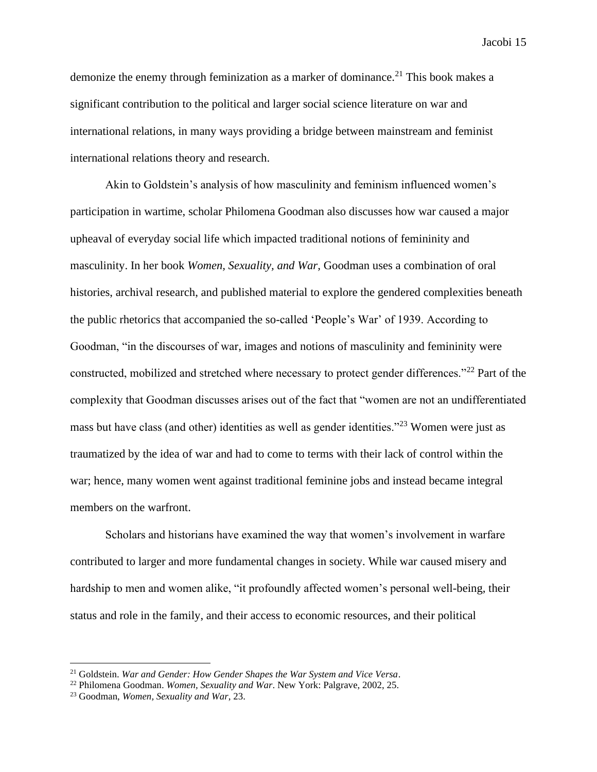demonize the enemy through feminization as a marker of dominance.<sup>21</sup> This book makes a significant contribution to the political and larger social science literature on war and international relations, in many ways providing a bridge between mainstream and feminist international relations theory and research.

Akin to Goldstein's analysis of how masculinity and feminism influenced women's participation in wartime, scholar Philomena Goodman also discusses how war caused a major upheaval of everyday social life which impacted traditional notions of femininity and masculinity. In her book *Women, Sexuality, and War,* Goodman uses a combination of oral histories, archival research, and published material to explore the gendered complexities beneath the public rhetorics that accompanied the so-called 'People's War' of 1939. According to Goodman, "in the discourses of war, images and notions of masculinity and femininity were constructed, mobilized and stretched where necessary to protect gender differences."<sup>22</sup> Part of the complexity that Goodman discusses arises out of the fact that "women are not an undifferentiated mass but have class (and other) identities as well as gender identities."<sup>23</sup> Women were just as traumatized by the idea of war and had to come to terms with their lack of control within the war; hence, many women went against traditional feminine jobs and instead became integral members on the warfront.

Scholars and historians have examined the way that women's involvement in warfare contributed to larger and more fundamental changes in society. While war caused misery and hardship to men and women alike, "it profoundly affected women's personal well-being, their status and role in the family, and their access to economic resources, and their political

<sup>21</sup> Goldstein. *War and Gender: How Gender Shapes the War System and Vice Versa*.

<sup>22</sup> Philomena Goodman. *Women, Sexuality and War*. New York: Palgrave, 2002, 25.

<sup>23</sup> Goodman, *Women, Sexuality and War*, 23.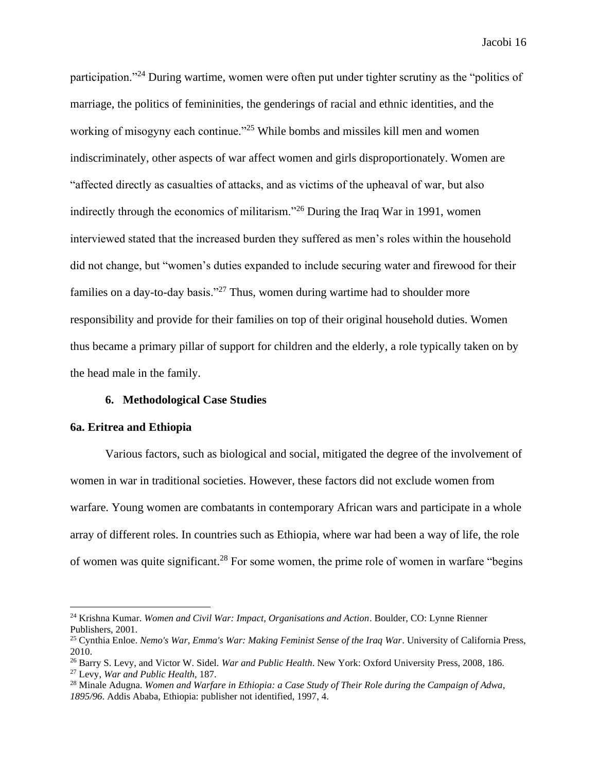participation."<sup>24</sup> During wartime, women were often put under tighter scrutiny as the "politics of marriage, the politics of femininities, the genderings of racial and ethnic identities, and the working of misogyny each continue."<sup>25</sup> While bombs and missiles kill men and women indiscriminately, other aspects of war affect women and girls disproportionately. Women are "affected directly as casualties of attacks, and as victims of the upheaval of war, but also indirectly through the economics of militarism."<sup>26</sup> During the Iraq War in 1991, women interviewed stated that the increased burden they suffered as men's roles within the household did not change, but "women's duties expanded to include securing water and firewood for their families on a day-to-day basis."<sup>27</sup> Thus, women during wartime had to shoulder more responsibility and provide for their families on top of their original household duties. Women thus became a primary pillar of support for children and the elderly, a role typically taken on by the head male in the family.

## **6. Methodological Case Studies**

#### **6a. Eritrea and Ethiopia**

Various factors, such as biological and social, mitigated the degree of the involvement of women in war in traditional societies. However, these factors did not exclude women from warfare. Young women are combatants in contemporary African wars and participate in a whole array of different roles. In countries such as Ethiopia, where war had been a way of life, the role of women was quite significant.<sup>28</sup> For some women, the prime role of women in warfare "begins

<sup>24</sup> Krishna Kumar. *Women and Civil War: Impact, Organisations and Action*. Boulder, CO: Lynne Rienner Publishers, 2001.

<sup>25</sup> Cynthia Enloe. *Nemo's War, Emma's War: Making Feminist Sense of the Iraq War*. University of California Press, 2010.

<sup>26</sup> Barry S. Levy, and Victor W. Sidel. *War and Public Health*. New York: Oxford University Press, 2008, 186. <sup>27</sup> Levy, *War and Public Health*, 187.

<sup>28</sup> Minale Adugna. *Women and Warfare in Ethiopia: a Case Study of Their Role during the Campaign of Adwa, 1895/96*. Addis Ababa, Ethiopia: publisher not identified, 1997, 4.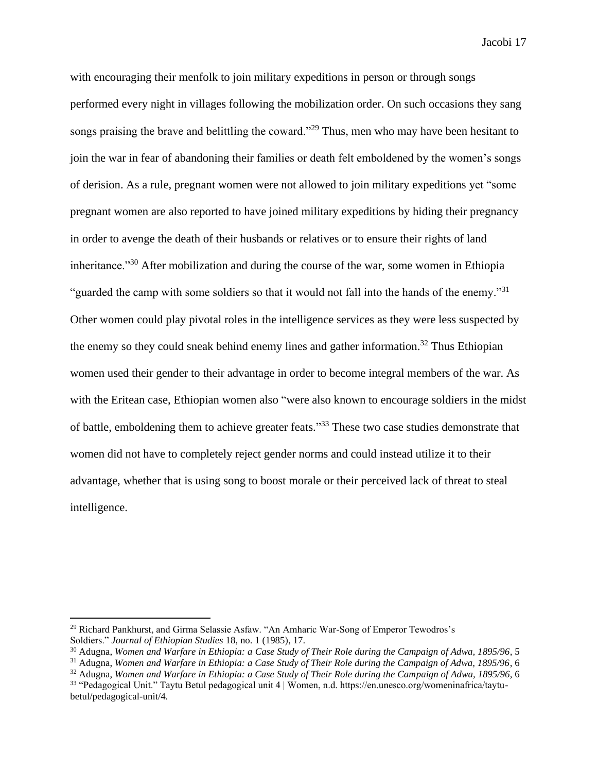with encouraging their menfolk to join military expeditions in person or through songs performed every night in villages following the mobilization order. On such occasions they sang songs praising the brave and belittling the coward."<sup>29</sup> Thus, men who may have been hesitant to join the war in fear of abandoning their families or death felt emboldened by the women's songs of derision. As a rule, pregnant women were not allowed to join military expeditions yet "some pregnant women are also reported to have joined military expeditions by hiding their pregnancy in order to avenge the death of their husbands or relatives or to ensure their rights of land inheritance."<sup>30</sup> After mobilization and during the course of the war, some women in Ethiopia "guarded the camp with some soldiers so that it would not fall into the hands of the enemy."<sup>31</sup> Other women could play pivotal roles in the intelligence services as they were less suspected by the enemy so they could sneak behind enemy lines and gather information.<sup>32</sup> Thus Ethiopian women used their gender to their advantage in order to become integral members of the war. As with the Eritean case, Ethiopian women also "were also known to encourage soldiers in the midst of battle, emboldening them to achieve greater feats."<sup>33</sup> These two case studies demonstrate that women did not have to completely reject gender norms and could instead utilize it to their advantage, whether that is using song to boost morale or their perceived lack of threat to steal intelligence.

<sup>29</sup> Richard Pankhurst, and Girma Selassie Asfaw. "An Amharic War-Song of Emperor Tewodros's

Soldiers." *Journal of Ethiopian Studies* 18, no. 1 (1985), 17.

<sup>30</sup> Adugna, *Women and Warfare in Ethiopia: a Case Study of Their Role during the Campaign of Adwa, 1895/96*, 5

<sup>31</sup> Adugna, *Women and Warfare in Ethiopia: a Case Study of Their Role during the Campaign of Adwa, 1895/96*, 6

<sup>32</sup> Adugna, *Women and Warfare in Ethiopia: a Case Study of Their Role during the Campaign of Adwa, 1895/96*, 6

<sup>33</sup> "Pedagogical Unit." Taytu Betul pedagogical unit 4 | Women, n.d. https://en.unesco.org/womeninafrica/taytubetul/pedagogical-unit/4.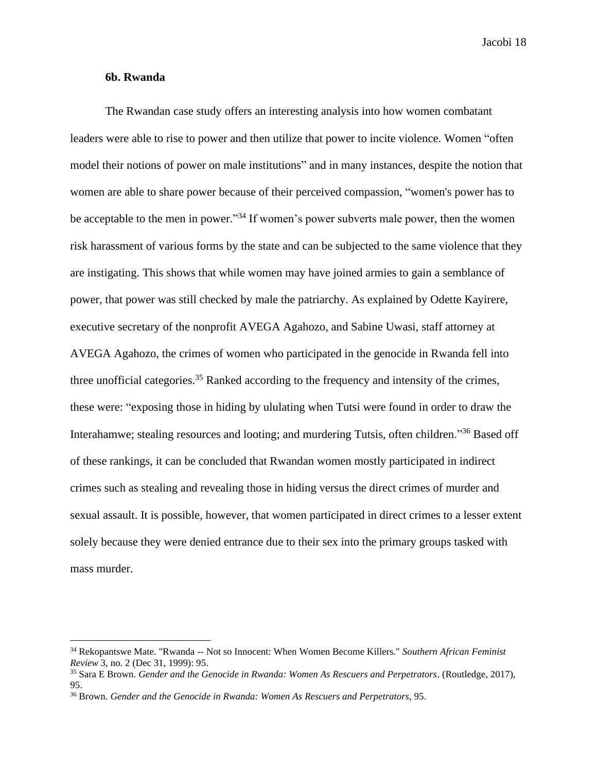### **6b. Rwanda**

The Rwandan case study offers an interesting analysis into how women combatant leaders were able to rise to power and then utilize that power to incite violence. Women "often model their notions of power on male institutions" and in many instances, despite the notion that women are able to share power because of their perceived compassion, "women's power has to be acceptable to the men in power."<sup>34</sup> If women's power subverts male power, then the women risk harassment of various forms by the state and can be subjected to the same violence that they are instigating. This shows that while women may have joined armies to gain a semblance of power, that power was still checked by male the patriarchy. As explained by Odette Kayirere, executive secretary of the nonprofit AVEGA Agahozo, and Sabine Uwasi, staff attorney at AVEGA Agahozo, the crimes of women who participated in the genocide in Rwanda fell into three unofficial categories.<sup>35</sup> Ranked according to the frequency and intensity of the crimes, these were: "exposing those in hiding by ululating when Tutsi were found in order to draw the Interahamwe; stealing resources and looting; and murdering Tutsis, often children."<sup>36</sup> Based off of these rankings, it can be concluded that Rwandan women mostly participated in indirect crimes such as stealing and revealing those in hiding versus the direct crimes of murder and sexual assault. It is possible, however, that women participated in direct crimes to a lesser extent solely because they were denied entrance due to their sex into the primary groups tasked with mass murder.

<sup>34</sup> Rekopantswe Mate. "Rwanda -- Not so Innocent: When Women Become Killers." *Southern African Feminist Review* 3, no. 2 (Dec 31, 1999): 95.

<sup>35</sup> Sara E Brown. *Gender and the Genocide in Rwanda: Women As Rescuers and Perpetrators*. (Routledge, 2017), 95.

<sup>36</sup> Brown. *Gender and the Genocide in Rwanda: Women As Rescuers and Perpetrators*, 95.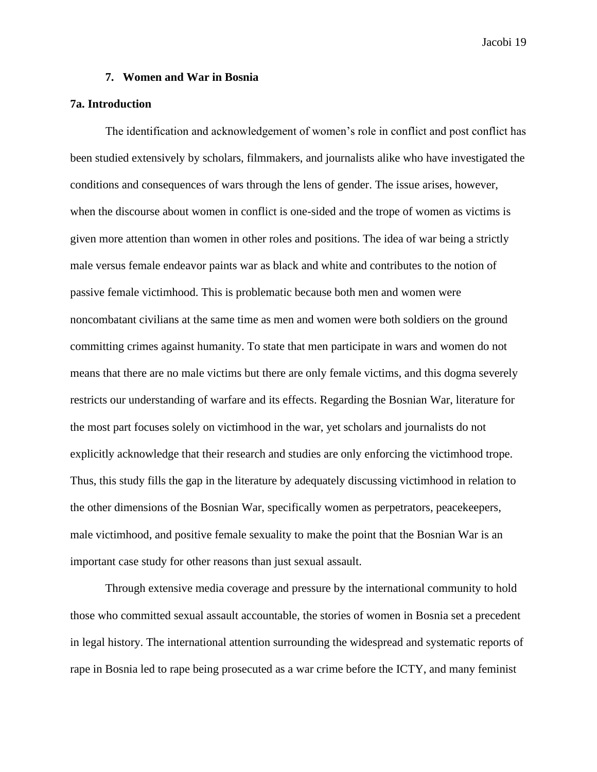## **7. Women and War in Bosnia**

## **7a. Introduction**

The identification and acknowledgement of women's role in conflict and post conflict has been studied extensively by scholars, filmmakers, and journalists alike who have investigated the conditions and consequences of wars through the lens of gender. The issue arises, however, when the discourse about women in conflict is one-sided and the trope of women as victims is given more attention than women in other roles and positions. The idea of war being a strictly male versus female endeavor paints war as black and white and contributes to the notion of passive female victimhood. This is problematic because both men and women were noncombatant civilians at the same time as men and women were both soldiers on the ground committing crimes against humanity. To state that men participate in wars and women do not means that there are no male victims but there are only female victims, and this dogma severely restricts our understanding of warfare and its effects. Regarding the Bosnian War, literature for the most part focuses solely on victimhood in the war, yet scholars and journalists do not explicitly acknowledge that their research and studies are only enforcing the victimhood trope. Thus, this study fills the gap in the literature by adequately discussing victimhood in relation to the other dimensions of the Bosnian War, specifically women as perpetrators, peacekeepers, male victimhood, and positive female sexuality to make the point that the Bosnian War is an important case study for other reasons than just sexual assault.

Through extensive media coverage and pressure by the international community to hold those who committed sexual assault accountable, the stories of women in Bosnia set a precedent in legal history. The international attention surrounding the widespread and systematic reports of rape in Bosnia led to rape being prosecuted as a war crime before the ICTY, and many feminist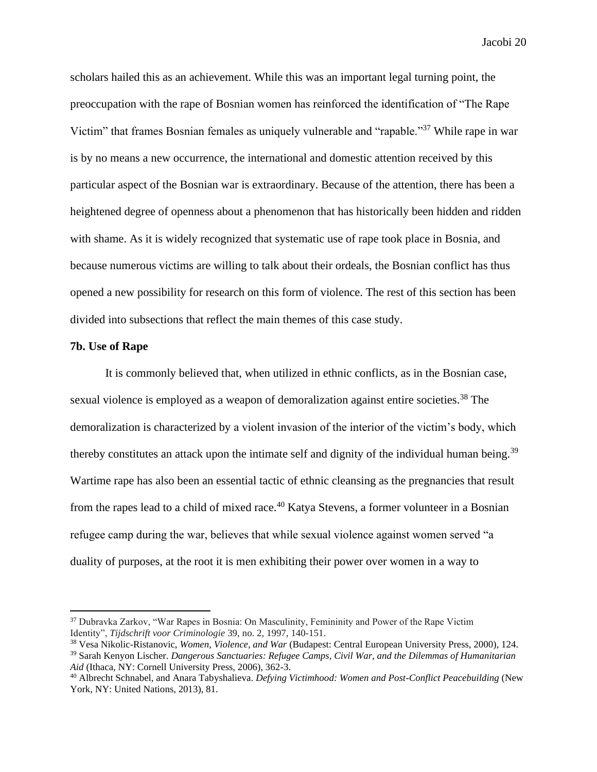scholars hailed this as an achievement. While this was an important legal turning point, the preoccupation with the rape of Bosnian women has reinforced the identification of "The Rape Victim" that frames Bosnian females as uniquely vulnerable and "rapable."<sup>37</sup> While rape in war is by no means a new occurrence, the international and domestic attention received by this particular aspect of the Bosnian war is extraordinary. Because of the attention, there has been a heightened degree of openness about a phenomenon that has historically been hidden and ridden with shame. As it is widely recognized that systematic use of rape took place in Bosnia, and because numerous victims are willing to talk about their ordeals, the Bosnian conflict has thus opened a new possibility for research on this form of violence. The rest of this section has been divided into subsections that reflect the main themes of this case study.

## **7b. Use of Rape**

It is commonly believed that, when utilized in ethnic conflicts, as in the Bosnian case, sexual violence is employed as a weapon of demoralization against entire societies.<sup>38</sup> The demoralization is characterized by a violent invasion of the interior of the victim's body, which thereby constitutes an attack upon the intimate self and dignity of the individual human being.<sup>39</sup> Wartime rape has also been an essential tactic of ethnic cleansing as the pregnancies that result from the rapes lead to a child of mixed race.<sup>40</sup> Katya Stevens, a former volunteer in a Bosnian refugee camp during the war, believes that while sexual violence against women served "a duality of purposes, at the root it is men exhibiting their power over women in a way to

<sup>&</sup>lt;sup>37</sup> Dubravka Zarkov, "War Rapes in Bosnia: On Masculinity, Femininity and Power of the Rape Victim Identity", *Tijdschrift voor Criminologie* 39, no. 2, 1997, 140-151.

<sup>38</sup> Vesa Nikolic-Ristanovic, *Women, Violence, and War* (Budapest: Central European University Press, 2000), 124.

<sup>39</sup> Sarah Kenyon Lischer. *Dangerous Sanctuaries: Refugee Camps, Civil War, and the Dilemmas of Humanitarian Aid* (Ithaca, NY: Cornell University Press, 2006), 362-3.

<sup>40</sup> Albrecht Schnabel, and Anara Tabyshalieva. *Defying Victimhood: Women and Post-Conflict Peacebuilding* (New York, NY: United Nations, 2013), 81.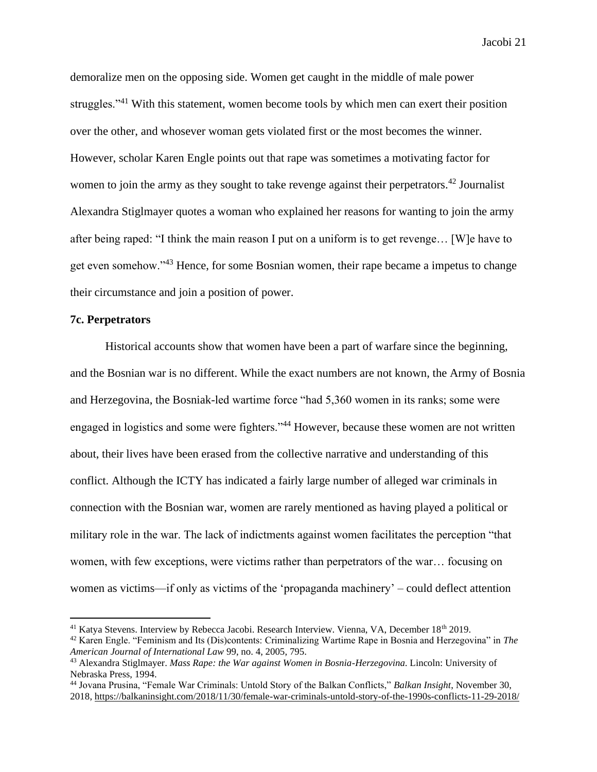demoralize men on the opposing side. Women get caught in the middle of male power struggles."<sup>41</sup> With this statement, women become tools by which men can exert their position over the other, and whosever woman gets violated first or the most becomes the winner. However, scholar Karen Engle points out that rape was sometimes a motivating factor for women to join the army as they sought to take revenge against their perpetrators.<sup>42</sup> Journalist Alexandra Stiglmayer quotes a woman who explained her reasons for wanting to join the army after being raped: "I think the main reason I put on a uniform is to get revenge… [W]e have to get even somehow."<sup>43</sup> Hence, for some Bosnian women, their rape became a impetus to change their circumstance and join a position of power.

## **7c. Perpetrators**

Historical accounts show that women have been a part of warfare since the beginning, and the Bosnian war is no different. While the exact numbers are not known, the Army of Bosnia and Herzegovina, the Bosniak-led wartime force "had 5,360 women in its ranks; some were engaged in logistics and some were fighters."<sup>44</sup> However, because these women are not written about, their lives have been erased from the collective narrative and understanding of this conflict. Although the ICTY has indicated a fairly large number of alleged war criminals in connection with the Bosnian war, women are rarely mentioned as having played a political or military role in the war. The lack of indictments against women facilitates the perception "that women, with few exceptions, were victims rather than perpetrators of the war… focusing on women as victims—if only as victims of the 'propaganda machinery' – could deflect attention

<sup>&</sup>lt;sup>41</sup> Katya Stevens. Interview by Rebecca Jacobi. Research Interview. Vienna, VA, December 18<sup>th</sup> 2019.

<sup>42</sup> Karen Engle. "Feminism and Its (Dis)contents: Criminalizing Wartime Rape in Bosnia and Herzegovina" in *The American Journal of International Law* 99, no. 4, 2005, 795.

<sup>43</sup> Alexandra Stiglmayer. *Mass Rape: the War against Women in Bosnia-Herzegovina*. Lincoln: University of Nebraska Press, 1994.

<sup>44</sup> Jovana Prusina, "Female War Criminals: Untold Story of the Balkan Conflicts," *Balkan Insight*, November 30, 2018,<https://balkaninsight.com/2018/11/30/female-war-criminals-untold-story-of-the-1990s-conflicts-11-29-2018/>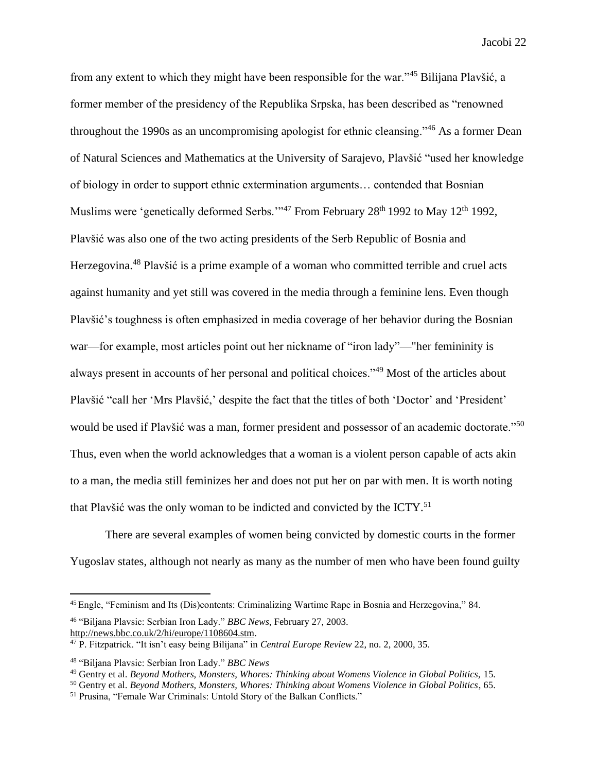from any extent to which they might have been responsible for the war."<sup>45</sup> Bilijana Plavšić, a former member of the presidency of the Republika Srpska, has been described as "renowned throughout the 1990s as an uncompromising apologist for ethnic cleansing."<sup>46</sup> As a former Dean of Natural Sciences and Mathematics at the University of Sarajevo, Plavšić "used her knowledge of biology in order to support ethnic extermination arguments… contended that Bosnian Muslims were 'genetically deformed Serbs."<sup>47</sup> From February 28<sup>th</sup> 1992 to May 12<sup>th</sup> 1992, Plavšić was also one of the two acting presidents of the Serb Republic of Bosnia and Herzegovina.<sup>48</sup> Plavšić is a prime example of a woman who committed terrible and cruel acts against humanity and yet still was covered in the media through a feminine lens. Even though Plavšić's toughness is often emphasized in media coverage of her behavior during the Bosnian war—for example, most articles point out her nickname of "iron lady"—"her femininity is always present in accounts of her personal and political choices."<sup>49</sup> Most of the articles about Plavšić "call her 'Mrs Plavšić,' despite the fact that the titles of both 'Doctor' and 'President' would be used if Plavšić was a man, former president and possessor of an academic doctorate."<sup>50</sup> Thus, even when the world acknowledges that a woman is a violent person capable of acts akin to a man, the media still feminizes her and does not put her on par with men. It is worth noting that Plavšić was the only woman to be indicted and convicted by the ICTY.<sup>51</sup>

There are several examples of women being convicted by domestic courts in the former Yugoslav states, although not nearly as many as the number of men who have been found guilty

<sup>45</sup> Engle, "Feminism and Its (Dis)contents: Criminalizing Wartime Rape in Bosnia and Herzegovina," 84.

<sup>46</sup> "Biljana Plavsic: Serbian Iron Lady." *BBC News*, February 27, 2003.

[http://news.bbc.co.uk/2/hi/europe/1108604.stm.](http://news.bbc.co.uk/2/hi/europe/1108604.stm)

<sup>47</sup> P. Fitzpatrick. "It isn't easy being Bilijana" in *Central Europe Review* 22, no. 2, 2000, 35.

<sup>48</sup> "Biljana Plavsic: Serbian Iron Lady." *BBC News*

<sup>49</sup> Gentry et al. *Beyond Mothers, Monsters, Whores: Thinking about Womens Violence in Global Politics,* 15.

<sup>50</sup> Gentry et al. *Beyond Mothers, Monsters, Whores: Thinking about Womens Violence in Global Politics*, 65.

<sup>51</sup> Prusina, "Female War Criminals: Untold Story of the Balkan Conflicts."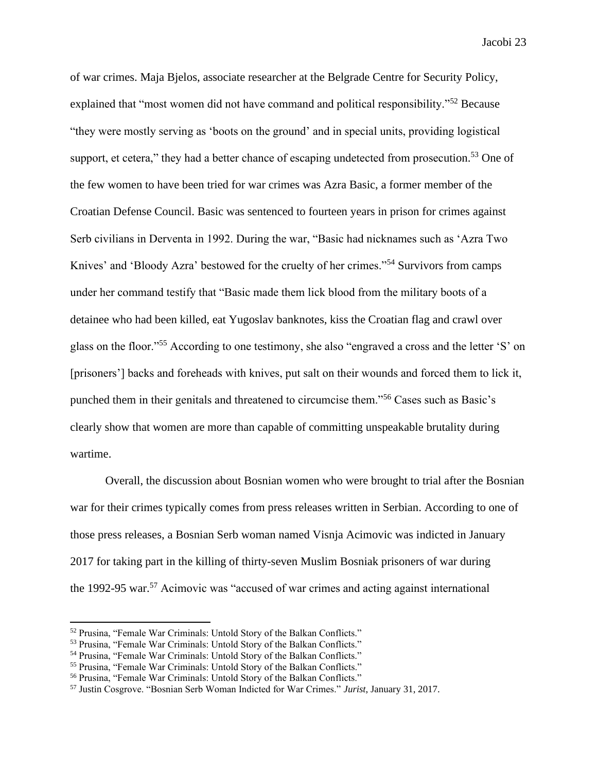of war crimes. Maja Bjelos, associate researcher at the Belgrade Centre for Security Policy, explained that "most women did not have command and political responsibility."<sup>52</sup> Because "they were mostly serving as 'boots on the ground' and in special units, providing logistical support, et cetera," they had a better chance of escaping undetected from prosecution.<sup>53</sup> One of the few women to have been tried for war crimes was Azra Basic, a former member of the Croatian Defense Council. Basic was sentenced to fourteen years in prison for crimes against Serb civilians in Derventa in 1992. During the war, "Basic had nicknames such as 'Azra Two Knives' and 'Bloody Azra' bestowed for the cruelty of her crimes."<sup>54</sup> Survivors from camps under her command testify that "Basic made them lick blood from the military boots of a detainee who had been killed, eat Yugoslav banknotes, kiss the Croatian flag and crawl over glass on the floor."<sup>55</sup> According to one testimony, she also "engraved a cross and the letter 'S' on [prisoners'] backs and foreheads with knives, put salt on their wounds and forced them to lick it, punched them in their genitals and threatened to circumcise them."<sup>56</sup> Cases such as Basic's clearly show that women are more than capable of committing unspeakable brutality during wartime.

Overall, the discussion about Bosnian women who were brought to trial after the Bosnian war for their crimes typically comes from press releases written in Serbian. According to one of those press releases, a Bosnian Serb woman named Visnja Acimovic was indicted in January 2017 for taking part in the killing of thirty-seven Muslim Bosniak prisoners of war during the 1992-95 war.<sup>57</sup> Acimovic was "accused of war crimes and acting against international

<sup>52</sup> Prusina, "Female War Criminals: Untold Story of the Balkan Conflicts."

<sup>53</sup> Prusina, "Female War Criminals: Untold Story of the Balkan Conflicts."

<sup>54</sup> Prusina, "Female War Criminals: Untold Story of the Balkan Conflicts."

<sup>55</sup> Prusina, "Female War Criminals: Untold Story of the Balkan Conflicts."

<sup>56</sup> Prusina, "Female War Criminals: Untold Story of the Balkan Conflicts."

<sup>57</sup> Justin Cosgrove. "Bosnian Serb Woman Indicted for War Crimes." *Jurist*, January 31, 2017.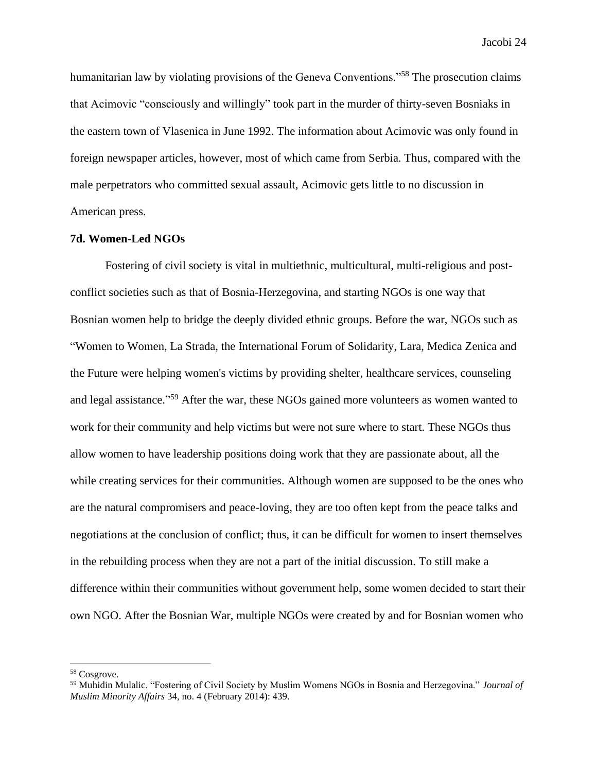humanitarian law by violating provisions of the Geneva Conventions.<sup>558</sup> The prosecution claims that Acimovic "consciously and willingly" took part in the murder of thirty-seven Bosniaks in the eastern town of Vlasenica in June 1992. The information about Acimovic was only found in foreign newspaper articles, however, most of which came from Serbia. Thus, compared with the male perpetrators who committed sexual assault, Acimovic gets little to no discussion in American press.

#### **7d. Women-Led NGOs**

Fostering of civil society is vital in multiethnic, multicultural, multi-religious and postconflict societies such as that of Bosnia-Herzegovina, and starting NGOs is one way that Bosnian women help to bridge the deeply divided ethnic groups. Before the war, NGOs such as "Women to Women, La Strada, the International Forum of Solidarity, Lara, Medica Zenica and the Future were helping women's victims by providing shelter, healthcare services, counseling and legal assistance."<sup>59</sup> After the war, these NGOs gained more volunteers as women wanted to work for their community and help victims but were not sure where to start. These NGOs thus allow women to have leadership positions doing work that they are passionate about, all the while creating services for their communities. Although women are supposed to be the ones who are the natural compromisers and peace-loving, they are too often kept from the peace talks and negotiations at the conclusion of conflict; thus, it can be difficult for women to insert themselves in the rebuilding process when they are not a part of the initial discussion. To still make a difference within their communities without government help, some women decided to start their own NGO. After the Bosnian War, multiple NGOs were created by and for Bosnian women who

<sup>58</sup> Cosgrove.

<sup>59</sup> Muhidin Mulalic. "Fostering of Civil Society by Muslim Womens NGOs in Bosnia and Herzegovina." *Journal of Muslim Minority Affairs* 34, no. 4 (February 2014): 439.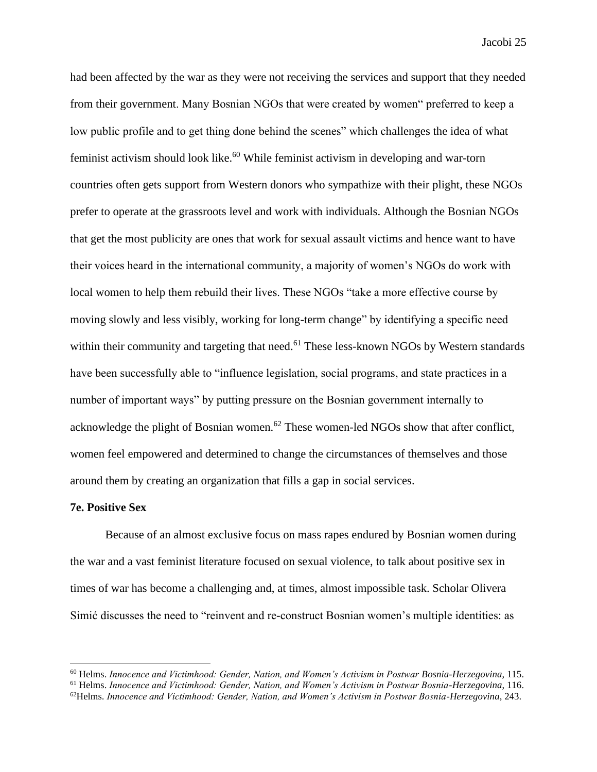had been affected by the war as they were not receiving the services and support that they needed from their government. Many Bosnian NGOs that were created by women" preferred to keep a low public profile and to get thing done behind the scenes" which challenges the idea of what feminist activism should look like. $60$  While feminist activism in developing and war-torn countries often gets support from Western donors who sympathize with their plight, these NGOs prefer to operate at the grassroots level and work with individuals. Although the Bosnian NGOs that get the most publicity are ones that work for sexual assault victims and hence want to have their voices heard in the international community, a majority of women's NGOs do work with local women to help them rebuild their lives. These NGOs "take a more effective course by moving slowly and less visibly, working for long-term change" by identifying a specific need within their community and targeting that need.<sup>61</sup> These less-known NGOs by Western standards have been successfully able to "influence legislation, social programs, and state practices in a number of important ways" by putting pressure on the Bosnian government internally to acknowledge the plight of Bosnian women.<sup>62</sup> These women-led NGOs show that after conflict, women feel empowered and determined to change the circumstances of themselves and those around them by creating an organization that fills a gap in social services.

#### **7e. Positive Sex**

Because of an almost exclusive focus on mass rapes endured by Bosnian women during the war and a vast feminist literature focused on sexual violence, to talk about positive sex in times of war has become a challenging and, at times, almost impossible task. Scholar Olivera Simić discusses the need to "reinvent and re-construct Bosnian women's multiple identities: as

<sup>60</sup> Helms. *Innocence and Victimhood: Gender, Nation, and Women's Activism in Postwar Bosnia-Herzegovina*, 115.

<sup>61</sup> Helms. *Innocence and Victimhood: Gender, Nation, and Women's Activism in Postwar Bosnia-Herzegovina*, 116. <sup>62</sup>Helms. *Innocence and Victimhood: Gender, Nation, and Women's Activism in Postwar Bosnia-Herzegovina*, 243.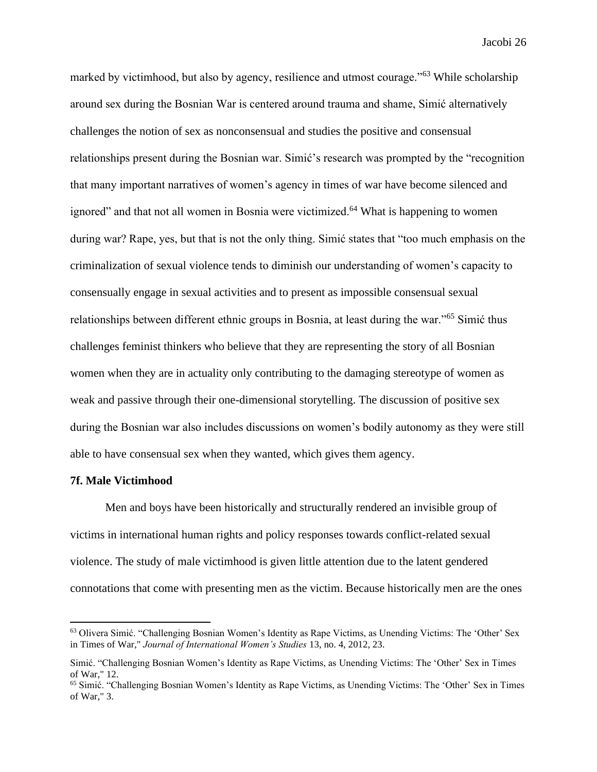marked by victimhood, but also by agency, resilience and utmost courage."<sup>63</sup> While scholarship around sex during the Bosnian War is centered around trauma and shame, Simić alternatively challenges the notion of sex as nonconsensual and studies the positive and consensual relationships present during the Bosnian war. Simić's research was prompted by the "recognition that many important narratives of women's agency in times of war have become silenced and ignored" and that not all women in Bosnia were victimized.<sup>64</sup> What is happening to women during war? Rape, yes, but that is not the only thing. Simić states that "too much emphasis on the criminalization of sexual violence tends to diminish our understanding of women's capacity to consensually engage in sexual activities and to present as impossible consensual sexual relationships between different ethnic groups in Bosnia, at least during the war."<sup>65</sup> Simić thus challenges feminist thinkers who believe that they are representing the story of all Bosnian women when they are in actuality only contributing to the damaging stereotype of women as weak and passive through their one-dimensional storytelling. The discussion of positive sex during the Bosnian war also includes discussions on women's bodily autonomy as they were still able to have consensual sex when they wanted, which gives them agency.

#### **7f. Male Victimhood**

Men and boys have been historically and structurally rendered an invisible group of victims in international human rights and policy responses towards conflict-related sexual violence. The study of male victimhood is given little attention due to the latent gendered connotations that come with presenting men as the victim. Because historically men are the ones

<sup>63</sup> Olivera Simić. "Challenging Bosnian Women's Identity as Rape Victims, as Unending Victims: The 'Other' Sex in Times of War," *Journal of International Women's Studies* 13, no. 4, 2012, 23.

Simić. "Challenging Bosnian Women's Identity as Rape Victims, as Unending Victims: The 'Other' Sex in Times of War," 12.

<sup>&</sup>lt;sup>65</sup> Simić. "Challenging Bosnian Women's Identity as Rape Victims, as Unending Victims: The 'Other' Sex in Times of War," 3.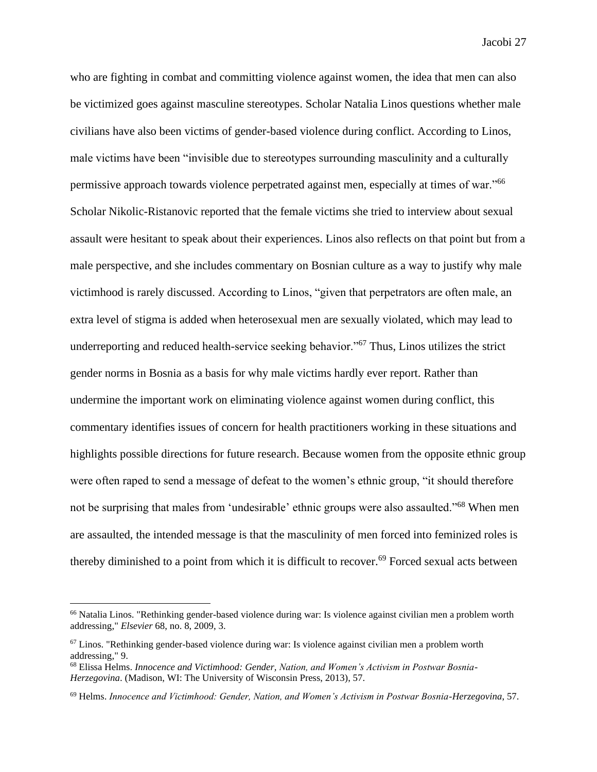who are fighting in combat and committing violence against women, the idea that men can also be victimized goes against masculine stereotypes. Scholar Natalia Linos questions whether male civilians have also been victims of gender-based violence during conflict. According to Linos, male victims have been "invisible due to stereotypes surrounding masculinity and a culturally permissive approach towards violence perpetrated against men, especially at times of war."<sup>66</sup> Scholar Nikolic-Ristanovic reported that the female victims she tried to interview about sexual assault were hesitant to speak about their experiences. Linos also reflects on that point but from a male perspective, and she includes commentary on Bosnian culture as a way to justify why male victimhood is rarely discussed. According to Linos, "given that perpetrators are often male, an extra level of stigma is added when heterosexual men are sexually violated, which may lead to underreporting and reduced health-service seeking behavior."<sup>67</sup> Thus, Linos utilizes the strict gender norms in Bosnia as a basis for why male victims hardly ever report. Rather than undermine the important work on eliminating violence against women during conflict, this commentary identifies issues of concern for health practitioners working in these situations and highlights possible directions for future research. Because women from the opposite ethnic group were often raped to send a message of defeat to the women's ethnic group, "it should therefore not be surprising that males from 'undesirable' ethnic groups were also assaulted."<sup>68</sup> When men are assaulted, the intended message is that the masculinity of men forced into feminized roles is thereby diminished to a point from which it is difficult to recover.<sup>69</sup> Forced sexual acts between

<sup>&</sup>lt;sup>66</sup> Natalia Linos. "Rethinking gender-based violence during war: Is violence against civilian men a problem worth addressing," *Elsevier* 68, no. 8, 2009, 3.

 $67$  Linos. "Rethinking gender-based violence during war: Is violence against civilian men a problem worth addressing," 9.

<sup>68</sup> Elissa Helms. *Innocence and Victimhood: Gender, Nation, and Women's Activism in Postwar Bosnia-Herzegovina*. (Madison, WI: The University of Wisconsin Press, 2013), 57.

<sup>69</sup> Helms. *Innocence and Victimhood: Gender, Nation, and Women's Activism in Postwar Bosnia-Herzegovina*, 57.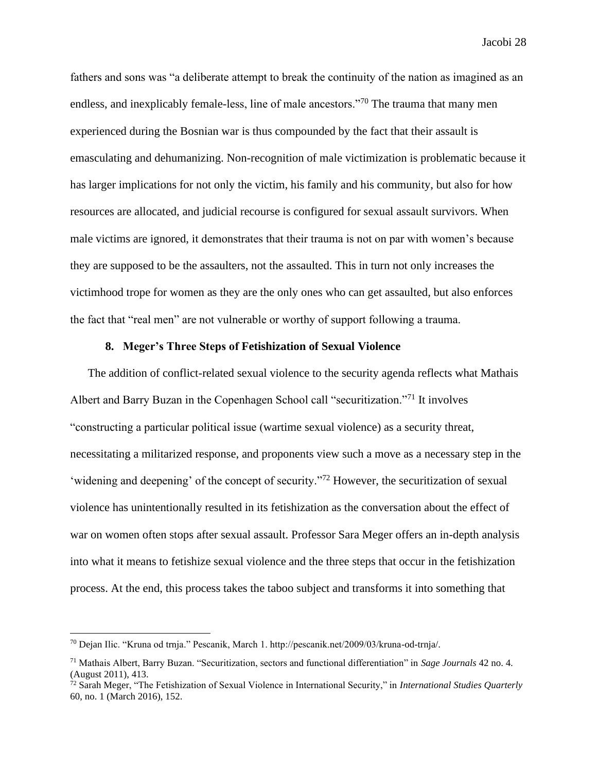fathers and sons was "a deliberate attempt to break the continuity of the nation as imagined as an endless, and inexplicably female-less, line of male ancestors."<sup>70</sup> The trauma that many men experienced during the Bosnian war is thus compounded by the fact that their assault is emasculating and dehumanizing. Non-recognition of male victimization is problematic because it has larger implications for not only the victim, his family and his community, but also for how resources are allocated, and judicial recourse is configured for sexual assault survivors. When male victims are ignored, it demonstrates that their trauma is not on par with women's because they are supposed to be the assaulters, not the assaulted. This in turn not only increases the victimhood trope for women as they are the only ones who can get assaulted, but also enforces the fact that "real men" are not vulnerable or worthy of support following a trauma.

#### **8. Meger's Three Steps of Fetishization of Sexual Violence**

The addition of conflict-related sexual violence to the security agenda reflects what Mathais Albert and Barry Buzan in the Copenhagen School call "securitization."<sup>71</sup> It involves "constructing a particular political issue (wartime sexual violence) as a security threat, necessitating a militarized response, and proponents view such a move as a necessary step in the 'widening and deepening' of the concept of security."<sup>72</sup> However, the securitization of sexual violence has unintentionally resulted in its fetishization as the conversation about the effect of war on women often stops after sexual assault. Professor Sara Meger offers an in-depth analysis into what it means to fetishize sexual violence and the three steps that occur in the fetishization process. At the end, this process takes the taboo subject and transforms it into something that

<sup>70</sup> Dejan Ilic. "Kruna od trnja." Pescanik, March 1. http://pescanik.net/2009/03/kruna-od-trnja/.

<sup>71</sup> Mathais Albert, Barry Buzan. "Securitization, sectors and functional differentiation" in *Sage Journals* 42 no. 4. (August 2011), 413.

<sup>72</sup> Sarah Meger, "The Fetishization of Sexual Violence in International Security," in *International Studies Quarterly*  60, no. 1 (March 2016), 152.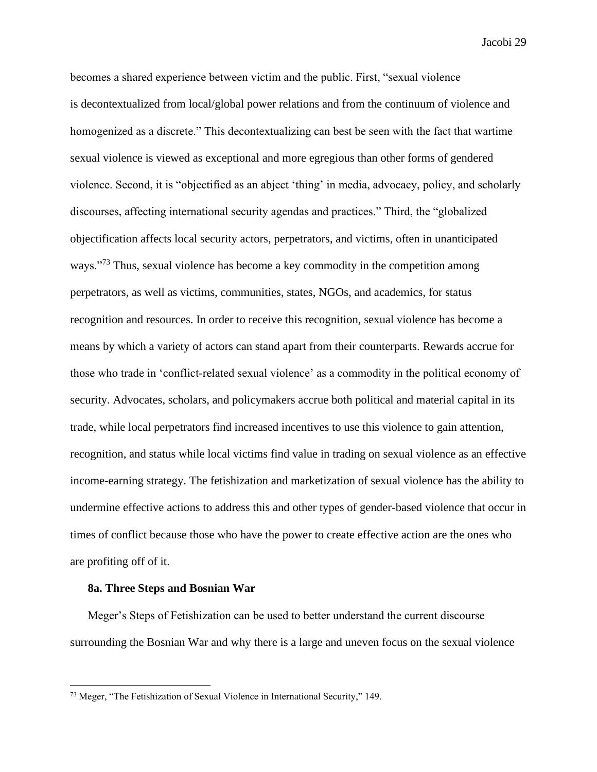becomes a shared experience between victim and the public. First, "sexual violence is decontextualized from local/global power relations and from the continuum of violence and homogenized as a discrete." This decontextualizing can best be seen with the fact that wartime sexual violence is viewed as exceptional and more egregious than other forms of gendered violence. Second, it is "objectified as an abject 'thing' in media, advocacy, policy, and scholarly discourses, affecting international security agendas and practices." Third, the "globalized objectification affects local security actors, perpetrators, and victims, often in unanticipated ways."<sup>73</sup> Thus, sexual violence has become a key commodity in the competition among perpetrators, as well as victims, communities, states, NGOs, and academics, for status recognition and resources. In order to receive this recognition, sexual violence has become a means by which a variety of actors can stand apart from their counterparts. Rewards accrue for those who trade in 'conflict-related sexual violence' as a commodity in the political economy of security. Advocates, scholars, and policymakers accrue both political and material capital in its trade, while local perpetrators find increased incentives to use this violence to gain attention, recognition, and status while local victims find value in trading on sexual violence as an effective income-earning strategy. The fetishization and marketization of sexual violence has the ability to undermine effective actions to address this and other types of gender-based violence that occur in times of conflict because those who have the power to create effective action are the ones who are profiting off of it.

#### **8a. Three Steps and Bosnian War**

Meger's Steps of Fetishization can be used to better understand the current discourse surrounding the Bosnian War and why there is a large and uneven focus on the sexual violence

<sup>73</sup> Meger, "The Fetishization of Sexual Violence in International Security," 149.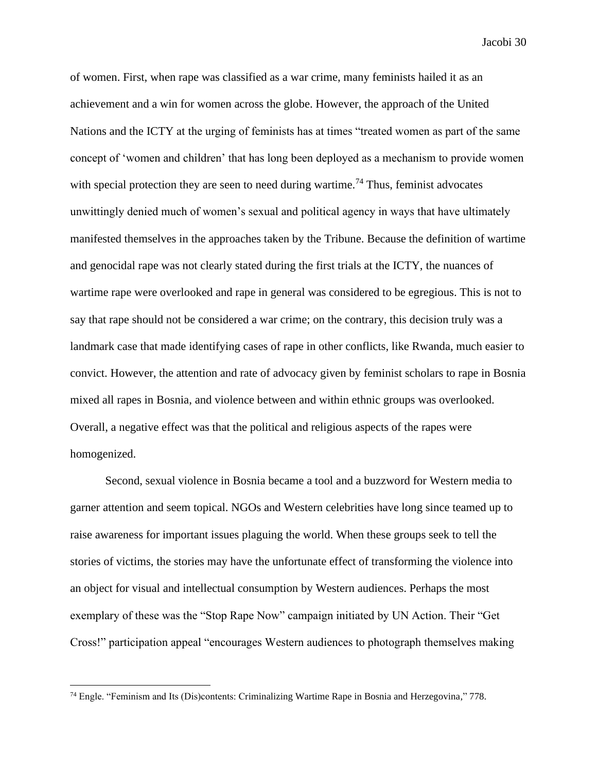of women. First, when rape was classified as a war crime, many feminists hailed it as an achievement and a win for women across the globe. However, the approach of the United Nations and the ICTY at the urging of feminists has at times "treated women as part of the same concept of 'women and children' that has long been deployed as a mechanism to provide women with special protection they are seen to need during wartime.<sup>74</sup> Thus, feminist advocates unwittingly denied much of women's sexual and political agency in ways that have ultimately manifested themselves in the approaches taken by the Tribune. Because the definition of wartime and genocidal rape was not clearly stated during the first trials at the ICTY, the nuances of wartime rape were overlooked and rape in general was considered to be egregious. This is not to say that rape should not be considered a war crime; on the contrary, this decision truly was a landmark case that made identifying cases of rape in other conflicts, like Rwanda, much easier to convict. However, the attention and rate of advocacy given by feminist scholars to rape in Bosnia mixed all rapes in Bosnia, and violence between and within ethnic groups was overlooked. Overall, a negative effect was that the political and religious aspects of the rapes were homogenized.

Second, sexual violence in Bosnia became a tool and a buzzword for Western media to garner attention and seem topical. NGOs and Western celebrities have long since teamed up to raise awareness for important issues plaguing the world. When these groups seek to tell the stories of victims, the stories may have the unfortunate effect of transforming the violence into an object for visual and intellectual consumption by Western audiences. Perhaps the most exemplary of these was the "Stop Rape Now" campaign initiated by UN Action. Their "Get Cross!" participation appeal "encourages Western audiences to photograph themselves making

<sup>74</sup> Engle. "Feminism and Its (Dis)contents: Criminalizing Wartime Rape in Bosnia and Herzegovina," 778.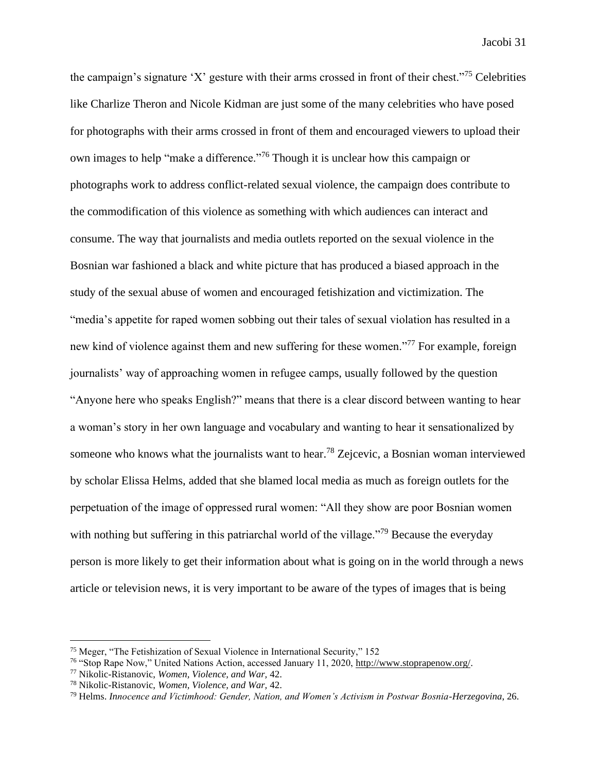the campaign's signature 'X' gesture with their arms crossed in front of their chest."<sup>75</sup> Celebrities like Charlize Theron and Nicole Kidman are just some of the many celebrities who have posed for photographs with their arms crossed in front of them and encouraged viewers to upload their own images to help "make a difference."<sup>76</sup> Though it is unclear how this campaign or photographs work to address conflict-related sexual violence, the campaign does contribute to the commodification of this violence as something with which audiences can interact and consume. The way that journalists and media outlets reported on the sexual violence in the Bosnian war fashioned a black and white picture that has produced a biased approach in the study of the sexual abuse of women and encouraged fetishization and victimization. The "media's appetite for raped women sobbing out their tales of sexual violation has resulted in a new kind of violence against them and new suffering for these women."<sup>77</sup> For example, foreign journalists' way of approaching women in refugee camps, usually followed by the question "Anyone here who speaks English?" means that there is a clear discord between wanting to hear a woman's story in her own language and vocabulary and wanting to hear it sensationalized by someone who knows what the journalists want to hear.<sup>78</sup> Zejcevic, a Bosnian woman interviewed by scholar Elissa Helms, added that she blamed local media as much as foreign outlets for the perpetuation of the image of oppressed rural women: "All they show are poor Bosnian women with nothing but suffering in this patriarchal world of the village."<sup>79</sup> Because the everyday person is more likely to get their information about what is going on in the world through a news article or television news, it is very important to be aware of the types of images that is being

<sup>75</sup> Meger, "The Fetishization of Sexual Violence in International Security," 152

<sup>76</sup> "Stop Rape Now," United Nations Action, accessed January 11, 2020, [http://www.stoprapenow.org/.](http://www.stoprapenow.org/)

<sup>77</sup> Nikolic-Ristanovic, *Women, Violence, and War,* 42.

<sup>78</sup> Nikolic-Ristanovic, *Women, Violence, and War,* 42.

<sup>79</sup> Helms. *Innocence and Victimhood: Gender, Nation, and Women's Activism in Postwar Bosnia-Herzegovina*, 26.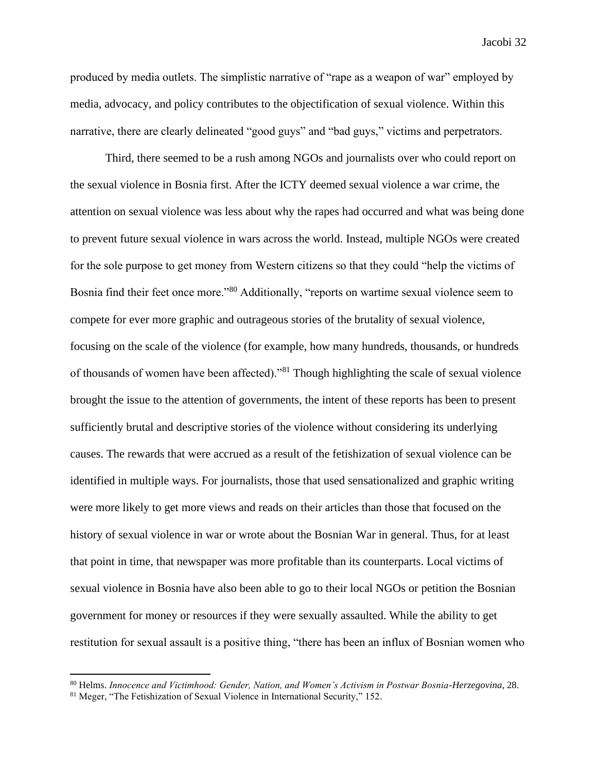produced by media outlets. The simplistic narrative of "rape as a weapon of war" employed by media, advocacy, and policy contributes to the objectification of sexual violence. Within this narrative, there are clearly delineated "good guys" and "bad guys," victims and perpetrators.

Third, there seemed to be a rush among NGOs and journalists over who could report on the sexual violence in Bosnia first. After the ICTY deemed sexual violence a war crime, the attention on sexual violence was less about why the rapes had occurred and what was being done to prevent future sexual violence in wars across the world. Instead, multiple NGOs were created for the sole purpose to get money from Western citizens so that they could "help the victims of Bosnia find their feet once more."<sup>80</sup> Additionally, "reports on wartime sexual violence seem to compete for ever more graphic and outrageous stories of the brutality of sexual violence, focusing on the scale of the violence (for example, how many hundreds, thousands, or hundreds of thousands of women have been affected)."<sup>81</sup> Though highlighting the scale of sexual violence brought the issue to the attention of governments, the intent of these reports has been to present sufficiently brutal and descriptive stories of the violence without considering its underlying causes. The rewards that were accrued as a result of the fetishization of sexual violence can be identified in multiple ways. For journalists, those that used sensationalized and graphic writing were more likely to get more views and reads on their articles than those that focused on the history of sexual violence in war or wrote about the Bosnian War in general. Thus, for at least that point in time, that newspaper was more profitable than its counterparts. Local victims of sexual violence in Bosnia have also been able to go to their local NGOs or petition the Bosnian government for money or resources if they were sexually assaulted. While the ability to get restitution for sexual assault is a positive thing, "there has been an influx of Bosnian women who

<sup>80</sup> Helms. *Innocence and Victimhood: Gender, Nation, and Women's Activism in Postwar Bosnia-Herzegovina*, 28.

<sup>81</sup> Meger, "The Fetishization of Sexual Violence in International Security," 152.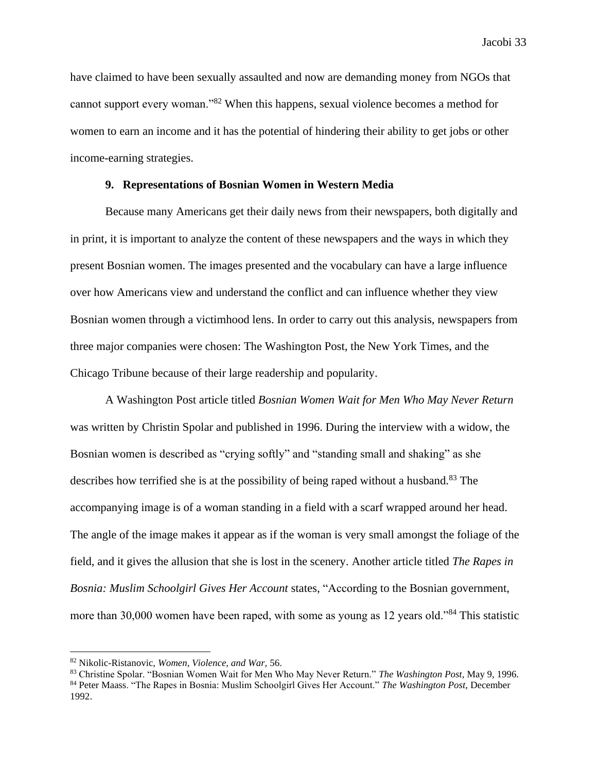have claimed to have been sexually assaulted and now are demanding money from NGOs that cannot support every woman."<sup>82</sup> When this happens, sexual violence becomes a method for women to earn an income and it has the potential of hindering their ability to get jobs or other income-earning strategies.

#### **9. Representations of Bosnian Women in Western Media**

Because many Americans get their daily news from their newspapers, both digitally and in print, it is important to analyze the content of these newspapers and the ways in which they present Bosnian women. The images presented and the vocabulary can have a large influence over how Americans view and understand the conflict and can influence whether they view Bosnian women through a victimhood lens. In order to carry out this analysis, newspapers from three major companies were chosen: The Washington Post, the New York Times, and the Chicago Tribune because of their large readership and popularity.

A Washington Post article titled *Bosnian Women Wait for Men Who May Never Return*  was written by Christin Spolar and published in 1996. During the interview with a widow, the Bosnian women is described as "crying softly" and "standing small and shaking" as she describes how terrified she is at the possibility of being raped without a husband.<sup>83</sup> The accompanying image is of a woman standing in a field with a scarf wrapped around her head. The angle of the image makes it appear as if the woman is very small amongst the foliage of the field, and it gives the allusion that she is lost in the scenery. Another article titled *The Rapes in Bosnia: Muslim Schoolgirl Gives Her Account* states, "According to the Bosnian government, more than 30,000 women have been raped, with some as young as 12 years old."<sup>84</sup> This statistic

<sup>82</sup> Nikolic-Ristanovic, *Women, Violence, and War,* 56.

<sup>83</sup> Christine Spolar. "Bosnian Women Wait for Men Who May Never Return." *The Washington Post*, May 9, 1996.

<sup>84</sup> Peter Maass. "The Rapes in Bosnia: Muslim Schoolgirl Gives Her Account." *The Washington Post,* December 1992.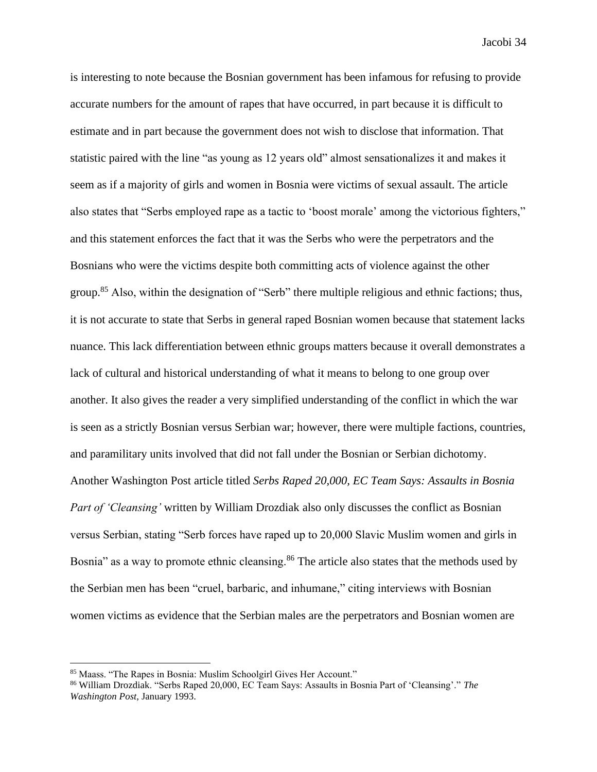is interesting to note because the Bosnian government has been infamous for refusing to provide accurate numbers for the amount of rapes that have occurred, in part because it is difficult to estimate and in part because the government does not wish to disclose that information. That statistic paired with the line "as young as 12 years old" almost sensationalizes it and makes it seem as if a majority of girls and women in Bosnia were victims of sexual assault. The article also states that "Serbs employed rape as a tactic to 'boost morale' among the victorious fighters," and this statement enforces the fact that it was the Serbs who were the perpetrators and the Bosnians who were the victims despite both committing acts of violence against the other group.<sup>85</sup> Also, within the designation of "Serb" there multiple religious and ethnic factions; thus, it is not accurate to state that Serbs in general raped Bosnian women because that statement lacks nuance. This lack differentiation between ethnic groups matters because it overall demonstrates a lack of cultural and historical understanding of what it means to belong to one group over another. It also gives the reader a very simplified understanding of the conflict in which the war is seen as a strictly Bosnian versus Serbian war; however, there were multiple factions, countries, and paramilitary units involved that did not fall under the Bosnian or Serbian dichotomy. Another Washington Post article titled *Serbs Raped 20,000, EC Team Says: Assaults in Bosnia Part of 'Cleansing'* written by William Drozdiak also only discusses the conflict as Bosnian versus Serbian, stating "Serb forces have raped up to 20,000 Slavic Muslim women and girls in Bosnia" as a way to promote ethnic cleansing.<sup>86</sup> The article also states that the methods used by the Serbian men has been "cruel, barbaric, and inhumane," citing interviews with Bosnian women victims as evidence that the Serbian males are the perpetrators and Bosnian women are

<sup>85</sup> Maass. "The Rapes in Bosnia: Muslim Schoolgirl Gives Her Account."

<sup>86</sup> William Drozdiak. "Serbs Raped 20,000, EC Team Says: Assaults in Bosnia Part of 'Cleansing'." *The Washington Post,* January 1993.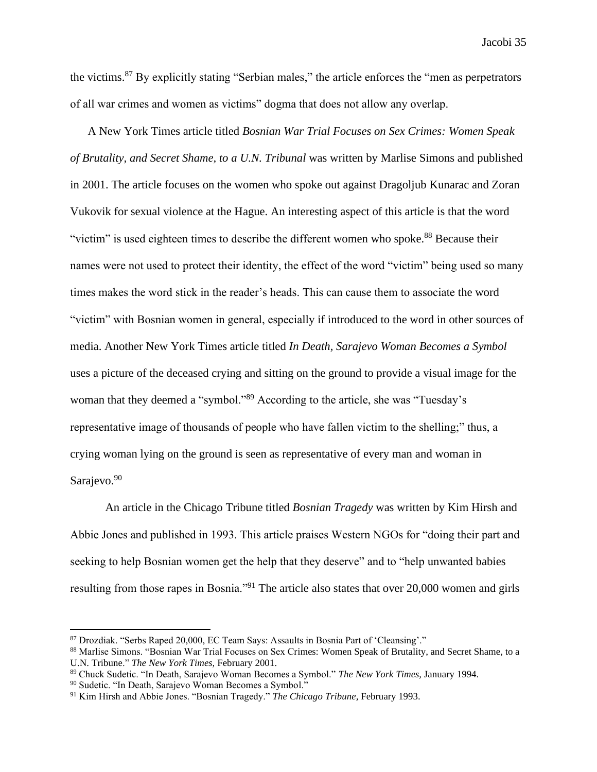the victims.<sup>87</sup> By explicitly stating "Serbian males," the article enforces the "men as perpetrators of all war crimes and women as victims" dogma that does not allow any overlap.

A New York Times article titled *Bosnian War Trial Focuses on Sex Crimes: Women Speak of Brutality, and Secret Shame, to a U.N. Tribunal* was written by Marlise Simons and published in 2001. The article focuses on the women who spoke out against Dragoljub Kunarac and Zoran Vukovik for sexual violence at the Hague. An interesting aspect of this article is that the word "victim" is used eighteen times to describe the different women who spoke.<sup>88</sup> Because their names were not used to protect their identity, the effect of the word "victim" being used so many times makes the word stick in the reader's heads. This can cause them to associate the word "victim" with Bosnian women in general, especially if introduced to the word in other sources of media. Another New York Times article titled *In Death, Sarajevo Woman Becomes a Symbol*  uses a picture of the deceased crying and sitting on the ground to provide a visual image for the woman that they deemed a "symbol."<sup>89</sup> According to the article, she was "Tuesday's representative image of thousands of people who have fallen victim to the shelling;" thus, a crying woman lying on the ground is seen as representative of every man and woman in Sarajevo.<sup>90</sup>

An article in the Chicago Tribune titled *Bosnian Tragedy* was written by Kim Hirsh and Abbie Jones and published in 1993. This article praises Western NGOs for "doing their part and seeking to help Bosnian women get the help that they deserve" and to "help unwanted babies resulting from those rapes in Bosnia."<sup>91</sup> The article also states that over 20,000 women and girls

<sup>87</sup> Drozdiak. "Serbs Raped 20,000, EC Team Says: Assaults in Bosnia Part of 'Cleansing'."

<sup>&</sup>lt;sup>88</sup> Marlise Simons. "Bosnian War Trial Focuses on Sex Crimes: Women Speak of Brutality, and Secret Shame, to a U.N. Tribune." *The New York Times,* February 2001.

<sup>89</sup> Chuck Sudetic. "In Death, Sarajevo Woman Becomes a Symbol." *The New York Times,* January 1994.

<sup>90</sup> Sudetic. "In Death, Sarajevo Woman Becomes a Symbol."

<sup>91</sup> Kim Hirsh and Abbie Jones. "Bosnian Tragedy." *The Chicago Tribune,* February 1993.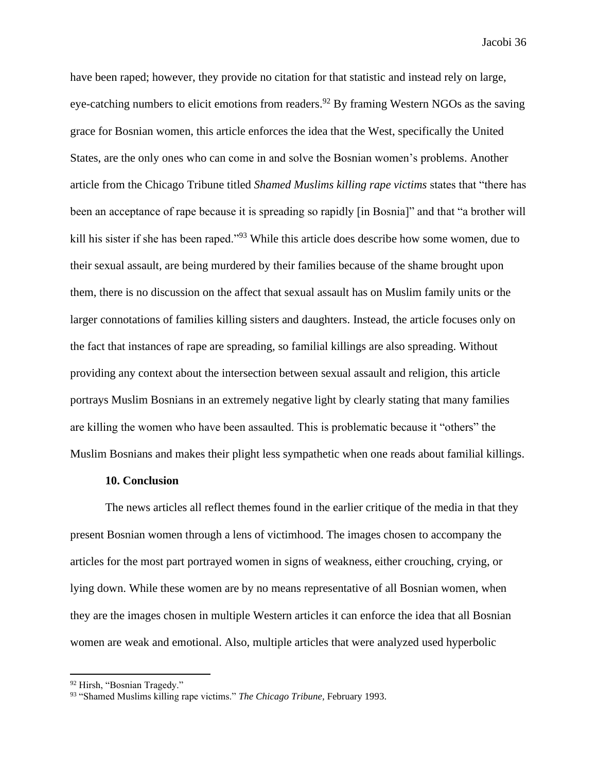have been raped; however, they provide no citation for that statistic and instead rely on large, eye-catching numbers to elicit emotions from readers.<sup>92</sup> By framing Western NGOs as the saving grace for Bosnian women, this article enforces the idea that the West, specifically the United States, are the only ones who can come in and solve the Bosnian women's problems. Another article from the Chicago Tribune titled *Shamed Muslims killing rape victims* states that "there has been an acceptance of rape because it is spreading so rapidly [in Bosnia]" and that "a brother will kill his sister if she has been raped."<sup>93</sup> While this article does describe how some women, due to their sexual assault, are being murdered by their families because of the shame brought upon them, there is no discussion on the affect that sexual assault has on Muslim family units or the larger connotations of families killing sisters and daughters. Instead, the article focuses only on the fact that instances of rape are spreading, so familial killings are also spreading. Without providing any context about the intersection between sexual assault and religion, this article portrays Muslim Bosnians in an extremely negative light by clearly stating that many families are killing the women who have been assaulted. This is problematic because it "others" the Muslim Bosnians and makes their plight less sympathetic when one reads about familial killings.

#### **10. Conclusion**

The news articles all reflect themes found in the earlier critique of the media in that they present Bosnian women through a lens of victimhood. The images chosen to accompany the articles for the most part portrayed women in signs of weakness, either crouching, crying, or lying down. While these women are by no means representative of all Bosnian women, when they are the images chosen in multiple Western articles it can enforce the idea that all Bosnian women are weak and emotional. Also, multiple articles that were analyzed used hyperbolic

<sup>&</sup>lt;sup>92</sup> Hirsh, "Bosnian Tragedy."

<sup>93</sup> "Shamed Muslims killing rape victims." *The Chicago Tribune,* February 1993.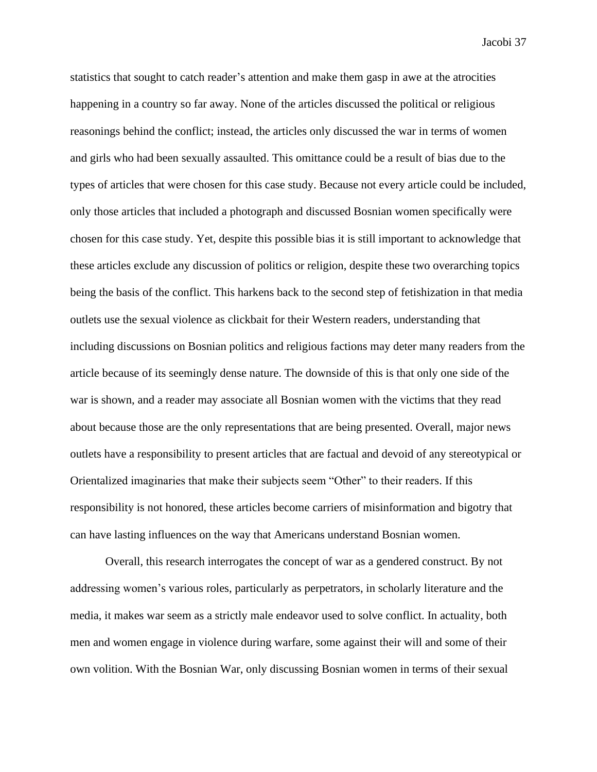statistics that sought to catch reader's attention and make them gasp in awe at the atrocities happening in a country so far away. None of the articles discussed the political or religious reasonings behind the conflict; instead, the articles only discussed the war in terms of women and girls who had been sexually assaulted. This omittance could be a result of bias due to the types of articles that were chosen for this case study. Because not every article could be included, only those articles that included a photograph and discussed Bosnian women specifically were chosen for this case study. Yet, despite this possible bias it is still important to acknowledge that these articles exclude any discussion of politics or religion, despite these two overarching topics being the basis of the conflict. This harkens back to the second step of fetishization in that media outlets use the sexual violence as clickbait for their Western readers, understanding that including discussions on Bosnian politics and religious factions may deter many readers from the article because of its seemingly dense nature. The downside of this is that only one side of the war is shown, and a reader may associate all Bosnian women with the victims that they read about because those are the only representations that are being presented. Overall, major news outlets have a responsibility to present articles that are factual and devoid of any stereotypical or Orientalized imaginaries that make their subjects seem "Other" to their readers. If this responsibility is not honored, these articles become carriers of misinformation and bigotry that can have lasting influences on the way that Americans understand Bosnian women.

Overall, this research interrogates the concept of war as a gendered construct. By not addressing women's various roles, particularly as perpetrators, in scholarly literature and the media, it makes war seem as a strictly male endeavor used to solve conflict. In actuality, both men and women engage in violence during warfare, some against their will and some of their own volition. With the Bosnian War, only discussing Bosnian women in terms of their sexual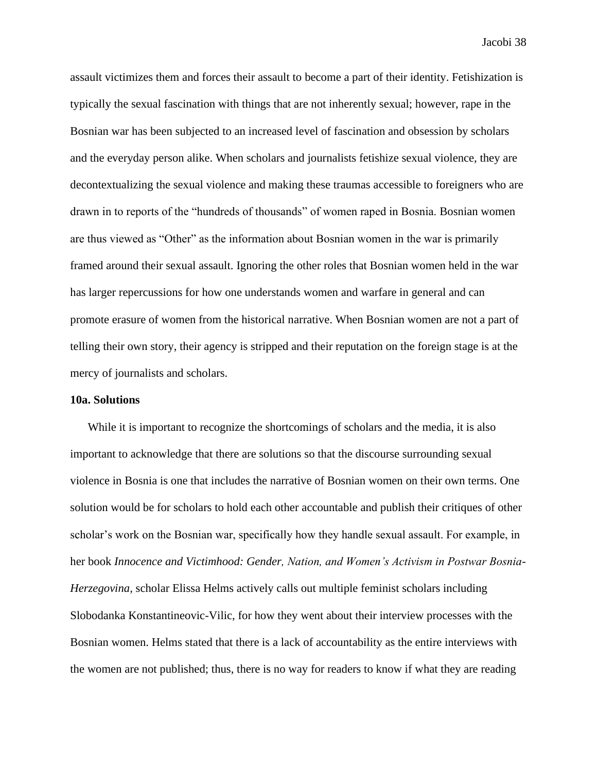assault victimizes them and forces their assault to become a part of their identity. Fetishization is typically the sexual fascination with things that are not inherently sexual; however, rape in the Bosnian war has been subjected to an increased level of fascination and obsession by scholars and the everyday person alike. When scholars and journalists fetishize sexual violence, they are decontextualizing the sexual violence and making these traumas accessible to foreigners who are drawn in to reports of the "hundreds of thousands" of women raped in Bosnia. Bosnian women are thus viewed as "Other" as the information about Bosnian women in the war is primarily framed around their sexual assault. Ignoring the other roles that Bosnian women held in the war has larger repercussions for how one understands women and warfare in general and can promote erasure of women from the historical narrative. When Bosnian women are not a part of telling their own story, their agency is stripped and their reputation on the foreign stage is at the mercy of journalists and scholars.

#### **10a. Solutions**

While it is important to recognize the shortcomings of scholars and the media, it is also important to acknowledge that there are solutions so that the discourse surrounding sexual violence in Bosnia is one that includes the narrative of Bosnian women on their own terms. One solution would be for scholars to hold each other accountable and publish their critiques of other scholar's work on the Bosnian war, specifically how they handle sexual assault. For example, in her book *Innocence and Victimhood: Gender, Nation, and Women's Activism in Postwar Bosnia-Herzegovina,* scholar Elissa Helms actively calls out multiple feminist scholars including Slobodanka Konstantineovic-Vilic, for how they went about their interview processes with the Bosnian women. Helms stated that there is a lack of accountability as the entire interviews with the women are not published; thus, there is no way for readers to know if what they are reading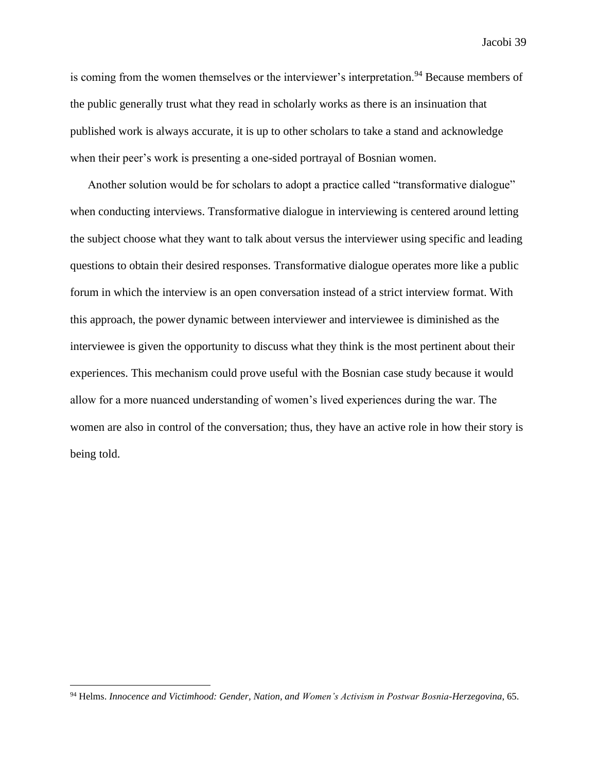is coming from the women themselves or the interviewer's interpretation.<sup>94</sup> Because members of the public generally trust what they read in scholarly works as there is an insinuation that published work is always accurate, it is up to other scholars to take a stand and acknowledge when their peer's work is presenting a one-sided portrayal of Bosnian women.

Another solution would be for scholars to adopt a practice called "transformative dialogue" when conducting interviews. Transformative dialogue in interviewing is centered around letting the subject choose what they want to talk about versus the interviewer using specific and leading questions to obtain their desired responses. Transformative dialogue operates more like a public forum in which the interview is an open conversation instead of a strict interview format. With this approach, the power dynamic between interviewer and interviewee is diminished as the interviewee is given the opportunity to discuss what they think is the most pertinent about their experiences. This mechanism could prove useful with the Bosnian case study because it would allow for a more nuanced understanding of women's lived experiences during the war. The women are also in control of the conversation; thus, they have an active role in how their story is being told.

<sup>94</sup> Helms. *Innocence and Victimhood: Gender, Nation, and Women's Activism in Postwar Bosnia-Herzegovina*, 65.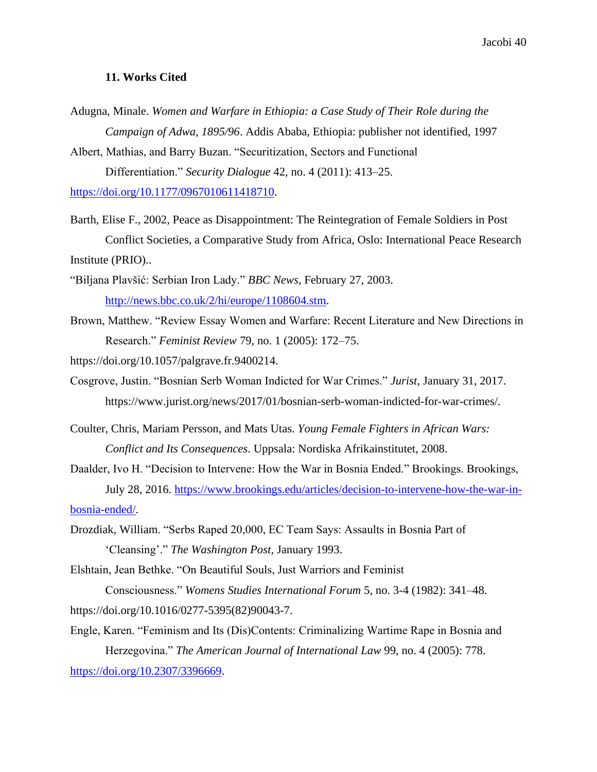#### **11. Works Cited**

Adugna, Minale. *Women and Warfare in Ethiopia: a Case Study of Their Role during the Campaign of Adwa, 1895/96*. Addis Ababa, Ethiopia: publisher not identified, 1997

Albert, Mathias, and Barry Buzan. "Securitization, Sectors and Functional Differentiation." *Security Dialogue* 42, no. 4 (2011): 413–25.

[https://doi.org/10.1177/0967010611418710.](https://doi.org/10.1177/0967010611418710)

- Barth, Elise F., 2002, Peace as Disappointment: The Reintegration of Female Soldiers in Post Conflict Societies, a Comparative Study from Africa, Oslo: International Peace Research Institute (PRIO)..
- "Biljana Plavšić: Serbian Iron Lady." *BBC News*, February 27, 2003. [http://news.bbc.co.uk/2/hi/europe/1108604.stm.](http://news.bbc.co.uk/2/hi/europe/1108604.stm)
- Brown, Matthew. "Review Essay Women and Warfare: Recent Literature and New Directions in Research." *Feminist Review* 79, no. 1 (2005): 172–75.

https://doi.org/10.1057/palgrave.fr.9400214.

- Cosgrove, Justin. "Bosnian Serb Woman Indicted for War Crimes." *Jurist*, January 31, 2017. https://www.jurist.org/news/2017/01/bosnian-serb-woman-indicted-for-war-crimes/.
- Coulter, Chris, Mariam Persson, and Mats Utas. *Young Female Fighters in African Wars: Conflict and Its Consequences*. Uppsala: Nordiska Afrikainstitutet, 2008.
- Daalder, Ivo H. "Decision to Intervene: How the War in Bosnia Ended." Brookings. Brookings, July 28, 2016. [https://www.brookings.edu/articles/decision-to-intervene-how-the-war-in](https://www.brookings.edu/articles/decision-to-intervene-how-the-war-in-bosnia-ended/)[bosnia-ended/.](https://www.brookings.edu/articles/decision-to-intervene-how-the-war-in-bosnia-ended/)
- Drozdiak, William. "Serbs Raped 20,000, EC Team Says: Assaults in Bosnia Part of 'Cleansing'." *The Washington Post,* January 1993.

Elshtain, Jean Bethke. "On Beautiful Souls, Just Warriors and Feminist

Consciousness." *Womens Studies International Forum* 5, no. 3-4 (1982): 341–48. https://doi.org/10.1016/0277-5395(82)90043-7.

Engle, Karen. "Feminism and Its (Dis)Contents: Criminalizing Wartime Rape in Bosnia and Herzegovina." *The American Journal of International Law* 99, no. 4 (2005): 778. [https://doi.org/10.2307/3396669.](https://doi.org/10.2307/3396669)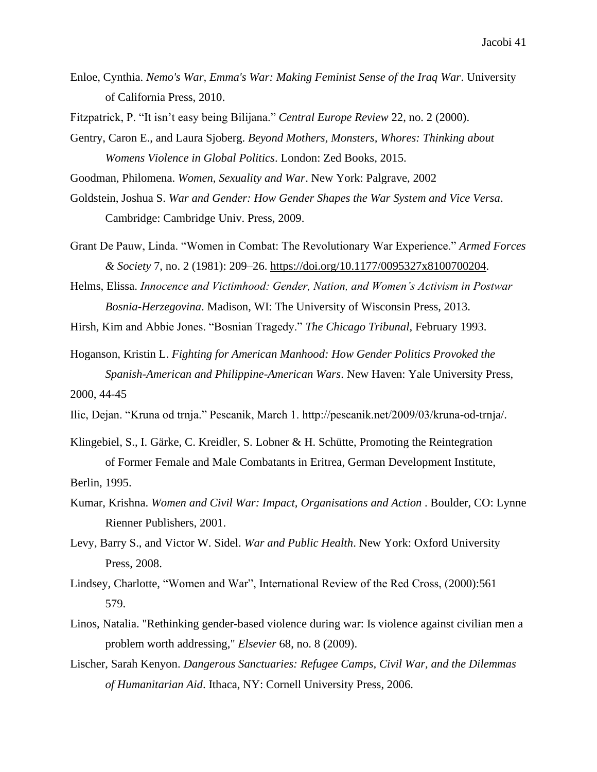Enloe, Cynthia. *Nemo's War, Emma's War: Making Feminist Sense of the Iraq War*. University of California Press, 2010.

Fitzpatrick, P. "It isn't easy being Bilijana." *Central Europe Review* 22, no. 2 (2000).

Gentry, Caron E., and Laura Sjoberg. *Beyond Mothers, Monsters, Whores: Thinking about Womens Violence in Global Politics*. London: Zed Books, 2015.

Goodman, Philomena. *Women, Sexuality and War*. New York: Palgrave, 2002

Goldstein, Joshua S. *War and Gender: How Gender Shapes the War System and Vice Versa*. Cambridge: Cambridge Univ. Press, 2009.

- Grant De Pauw, Linda. "Women in Combat: The Revolutionary War Experience." *Armed Forces & Society* 7, no. 2 (1981): 209–26. [https://doi.org/10.1177/0095327x8100700204.](https://doi.org/10.1177/0095327x8100700204)
- Helms, Elissa. *Innocence and Victimhood: Gender, Nation, and Women's Activism in Postwar Bosnia-Herzegovina*. Madison, WI: The University of Wisconsin Press, 2013.

Hirsh, Kim and Abbie Jones. "Bosnian Tragedy." *The Chicago Tribunal,* February 1993.

Hoganson, Kristin L. *Fighting for American Manhood: How Gender Politics Provoked the Spanish-American and Philippine-American Wars*. New Haven: Yale University Press, 2000, 44-45

Ilic, Dejan. "Kruna od trnja." Pescanik, March 1. http://pescanik.net/2009/03/kruna-od-trnja/.

- Klingebiel, S., I. Gärke, C. Kreidler, S. Lobner & H. Schütte, Promoting the Reintegration of Former Female and Male Combatants in Eritrea, German Development Institute, Berlin, 1995.
- Kumar, Krishna. *Women and Civil War: Impact, Organisations and Action* . Boulder, CO: Lynne Rienner Publishers, 2001.
- Levy, Barry S., and Victor W. Sidel. *War and Public Health*. New York: Oxford University Press, 2008.
- Lindsey, Charlotte, "Women and War", International Review of the Red Cross, (2000):561 579.
- Linos, Natalia. "Rethinking gender-based violence during war: Is violence against civilian men a problem worth addressing," *Elsevier* 68, no. 8 (2009).
- Lischer, Sarah Kenyon. *Dangerous Sanctuaries: Refugee Camps, Civil War, and the Dilemmas of Humanitarian Aid*. Ithaca, NY: Cornell University Press, 2006.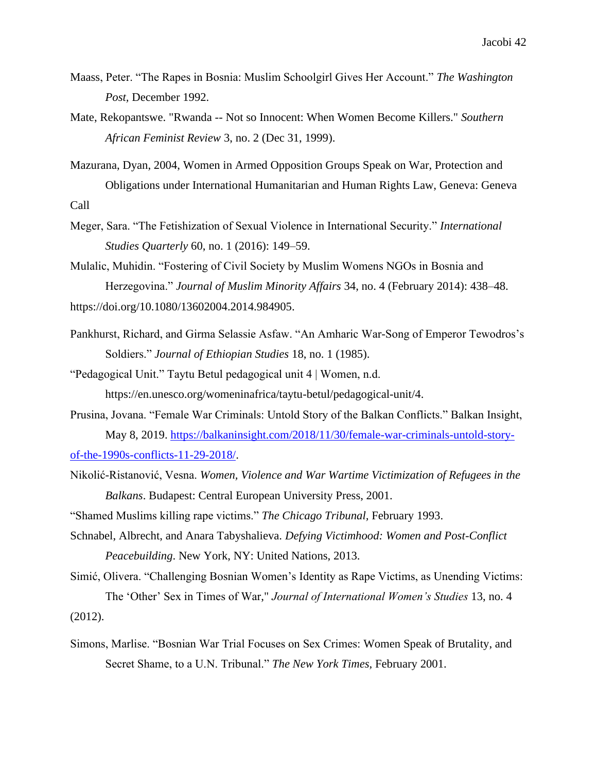- Maass, Peter. "The Rapes in Bosnia: Muslim Schoolgirl Gives Her Account." *The Washington Post,* December 1992.
- Mate, Rekopantswe. "Rwanda -- Not so Innocent: When Women Become Killers." *Southern African Feminist Review* 3, no. 2 (Dec 31, 1999).
- Mazurana, Dyan, 2004, Women in Armed Opposition Groups Speak on War, Protection and Obligations under International Humanitarian and Human Rights Law, Geneva: Geneva Call
- Meger, Sara. "The Fetishization of Sexual Violence in International Security." *International Studies Quarterly* 60, no. 1 (2016): 149–59.

Mulalic, Muhidin. "Fostering of Civil Society by Muslim Womens NGOs in Bosnia and Herzegovina." *Journal of Muslim Minority Affairs* 34, no. 4 (February 2014): 438–48. https://doi.org/10.1080/13602004.2014.984905.

Pankhurst, Richard, and Girma Selassie Asfaw. "An Amharic War-Song of Emperor Tewodros's Soldiers." *Journal of Ethiopian Studies* 18, no. 1 (1985).

"Pedagogical Unit." Taytu Betul pedagogical unit 4 | Women, n.d. https://en.unesco.org/womeninafrica/taytu-betul/pedagogical-unit/4.

- Prusina, Jovana. "Female War Criminals: Untold Story of the Balkan Conflicts." Balkan Insight, May 8, 2019. [https://balkaninsight.com/2018/11/30/female-war-criminals-untold-story](https://balkaninsight.com/2018/11/30/female-war-criminals-untold-story-of-the-1990s-conflicts-11-29-2018/)[of-the-1990s-conflicts-11-29-2018/.](https://balkaninsight.com/2018/11/30/female-war-criminals-untold-story-of-the-1990s-conflicts-11-29-2018/)
- Nikolić-Ristanović, Vesna. *Women, Violence and War Wartime Victimization of Refugees in the Balkans*. Budapest: Central European University Press, 2001.

"Shamed Muslims killing rape victims." *The Chicago Tribunal,* February 1993.

Schnabel, Albrecht, and Anara Tabyshalieva. *Defying Victimhood: Women and Post-Conflict Peacebuilding*. New York, NY: United Nations, 2013.

Simić, Olivera. "Challenging Bosnian Women's Identity as Rape Victims, as Unending Victims: The 'Other' Sex in Times of War," *Journal of International Women's Studies* 13, no. 4

(2012).

Simons, Marlise. "Bosnian War Trial Focuses on Sex Crimes: Women Speak of Brutality, and Secret Shame, to a U.N. Tribunal." *The New York Times,* February 2001.